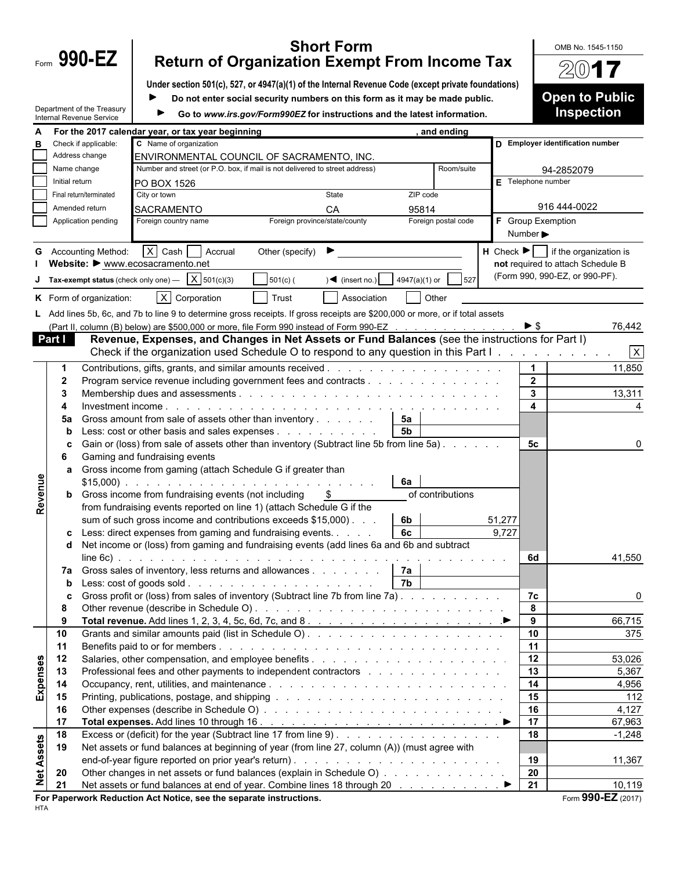|                   |                                                                       |                                                        |                                                                                                                                                                                                                          |                               | <b>Short Form</b>       |                                                                             |                              |                       | OMB No. 1545-1150                                      |  |  |
|-------------------|-----------------------------------------------------------------------|--------------------------------------------------------|--------------------------------------------------------------------------------------------------------------------------------------------------------------------------------------------------------------------------|-------------------------------|-------------------------|-----------------------------------------------------------------------------|------------------------------|-----------------------|--------------------------------------------------------|--|--|
|                   | Form $990-EZ$<br><b>Return of Organization Exempt From Income Tax</b> |                                                        |                                                                                                                                                                                                                          |                               |                         |                                                                             |                              | $20$ 17               |                                                        |  |  |
|                   |                                                                       |                                                        | Under section 501(c), 527, or 4947(a)(1) of the Internal Revenue Code (except private foundations)                                                                                                                       |                               |                         |                                                                             |                              |                       |                                                        |  |  |
|                   |                                                                       |                                                        |                                                                                                                                                                                                                          |                               |                         | Do not enter social security numbers on this form as it may be made public. |                              |                       | <b>Open to Public</b>                                  |  |  |
|                   |                                                                       | Department of the Treasury<br>Internal Revenue Service |                                                                                                                                                                                                                          |                               |                         | Go to www.irs.gov/Form990EZ for instructions and the latest information.    |                              |                       | <b>Inspection</b>                                      |  |  |
|                   |                                                                       |                                                        | For the 2017 calendar year, or tax year beginning                                                                                                                                                                        |                               |                         | and ending                                                                  |                              |                       |                                                        |  |  |
| в                 |                                                                       | Check if applicable:                                   | C Name of organization                                                                                                                                                                                                   |                               |                         |                                                                             |                              |                       | D Employer identification number                       |  |  |
|                   |                                                                       | Address change                                         | ENVIRONMENTAL COUNCIL OF SACRAMENTO, INC.                                                                                                                                                                                |                               |                         |                                                                             |                              |                       |                                                        |  |  |
|                   | Name change                                                           |                                                        | Number and street (or P.O. box, if mail is not delivered to street address)                                                                                                                                              |                               |                         | Room/suite                                                                  |                              | 94-2852079            |                                                        |  |  |
|                   | Initial return                                                        |                                                        | PO BOX 1526                                                                                                                                                                                                              |                               |                         |                                                                             |                              | $E$ Telephone number  |                                                        |  |  |
|                   |                                                                       | Final return/terminated                                | City or town                                                                                                                                                                                                             |                               | State                   | ZIP code                                                                    |                              | 916 444-0022          |                                                        |  |  |
|                   |                                                                       | Amended return<br>Application pending                  | <b>SACRAMENTO</b><br>Foreign country name                                                                                                                                                                                | Foreign province/state/county | CA                      | 95814<br>Foreign postal code                                                |                              | F Group Exemption     |                                                        |  |  |
|                   |                                                                       |                                                        |                                                                                                                                                                                                                          |                               |                         |                                                                             | Number $\blacktriangleright$ |                       |                                                        |  |  |
|                   |                                                                       | <b>G</b> Accounting Method:                            | X Cash Accrual                                                                                                                                                                                                           | Other (specify)               |                         |                                                                             |                              |                       | $H$ Check $\blacktriangleright$ if the organization is |  |  |
|                   |                                                                       |                                                        | Website: ▶ www.ecosacramento.net                                                                                                                                                                                         |                               |                         |                                                                             |                              |                       | not required to attach Schedule B                      |  |  |
|                   |                                                                       | Tax-exempt status (check only one) -                   | X 501(c)(3)                                                                                                                                                                                                              | $501(c)$ (                    | $\sqrt{ }$ (insert no.) | 4947(a)(1) or<br>527                                                        |                              |                       | (Form 990, 990-EZ, or 990-PF).                         |  |  |
|                   |                                                                       |                                                        |                                                                                                                                                                                                                          |                               |                         |                                                                             |                              |                       |                                                        |  |  |
|                   |                                                                       | K Form of organization:                                | X Corporation                                                                                                                                                                                                            | l Trust                       | Association             | Other                                                                       |                              |                       |                                                        |  |  |
|                   |                                                                       |                                                        | L Add lines 5b, 6c, and 7b to line 9 to determine gross receipts. If gross receipts are \$200,000 or more, or if total assets<br>(Part II, column (B) below) are \$500,000 or more, file Form 990 instead of Form 990-EZ |                               |                         |                                                                             |                              | $\triangleright$ \$   |                                                        |  |  |
|                   | Part I                                                                |                                                        | Revenue, Expenses, and Changes in Net Assets or Fund Balances (see the instructions for Part I)                                                                                                                          |                               |                         |                                                                             |                              |                       | 76,442                                                 |  |  |
|                   |                                                                       |                                                        | Check if the organization used Schedule O to respond to any question in this Part I.                                                                                                                                     |                               |                         |                                                                             |                              |                       | $\mathsf{X}$                                           |  |  |
|                   | -1                                                                    |                                                        |                                                                                                                                                                                                                          |                               |                         |                                                                             |                              | $\blacktriangleleft$  | 11,850                                                 |  |  |
|                   | $\mathbf{2}$                                                          |                                                        | Program service revenue including government fees and contracts                                                                                                                                                          |                               |                         |                                                                             |                              | $\overline{2}$        |                                                        |  |  |
|                   | 3                                                                     |                                                        |                                                                                                                                                                                                                          |                               |                         |                                                                             |                              | 3                     | 13,311                                                 |  |  |
|                   |                                                                       |                                                        |                                                                                                                                                                                                                          |                               |                         |                                                                             |                              | 4                     |                                                        |  |  |
|                   | 5a                                                                    |                                                        | Gross amount from sale of assets other than inventory                                                                                                                                                                    |                               |                         | 5a                                                                          |                              |                       |                                                        |  |  |
|                   | b                                                                     |                                                        | Less: cost or other basis and sales expenses                                                                                                                                                                             |                               |                         | <b>5b</b>                                                                   |                              |                       |                                                        |  |  |
|                   | c<br>6                                                                |                                                        | Gain or (loss) from sale of assets other than inventory (Subtract line 5b from line 5a)<br>Gaming and fundraising events                                                                                                 |                               |                         |                                                                             |                              | 5с                    |                                                        |  |  |
|                   | a                                                                     |                                                        | Gross income from gaming (attach Schedule G if greater than                                                                                                                                                              |                               |                         |                                                                             |                              |                       |                                                        |  |  |
|                   |                                                                       |                                                        |                                                                                                                                                                                                                          |                               |                         | 6а                                                                          |                              |                       |                                                        |  |  |
| Revenue           |                                                                       |                                                        | <b>b</b> Gross income from fundraising events (not including                                                                                                                                                             |                               |                         | of contributions                                                            |                              |                       |                                                        |  |  |
|                   |                                                                       |                                                        | from fundraising events reported on line 1) (attach Schedule G if the                                                                                                                                                    |                               |                         |                                                                             |                              |                       |                                                        |  |  |
|                   |                                                                       |                                                        | sum of such gross income and contributions exceeds \$15,000).                                                                                                                                                            |                               |                         | 6b                                                                          | 51,277                       |                       |                                                        |  |  |
|                   |                                                                       |                                                        | Less: direct expenses from gaming and fundraising events. $\ldots$ $\qquad \qquad$ 6c                                                                                                                                    |                               |                         |                                                                             | 9,727                        |                       |                                                        |  |  |
|                   |                                                                       |                                                        | d Net income or (loss) from gaming and fundraising events (add lines 6a and 6b and subtract                                                                                                                              |                               |                         |                                                                             |                              | 6d                    | 41,550                                                 |  |  |
|                   |                                                                       |                                                        | 7a Gross sales of inventory, less returns and allowances   7a                                                                                                                                                            |                               |                         |                                                                             |                              |                       |                                                        |  |  |
|                   | b                                                                     |                                                        |                                                                                                                                                                                                                          |                               |                         | 7b                                                                          |                              |                       |                                                        |  |  |
|                   | C                                                                     |                                                        | Gross profit or (loss) from sales of inventory (Subtract line 7b from line 7a).                                                                                                                                          |                               |                         |                                                                             |                              | 7c                    | 0                                                      |  |  |
|                   | 8                                                                     |                                                        |                                                                                                                                                                                                                          |                               |                         |                                                                             |                              | 8                     |                                                        |  |  |
|                   | 9                                                                     |                                                        |                                                                                                                                                                                                                          |                               |                         |                                                                             |                              | 9                     | 66,715                                                 |  |  |
|                   | 10                                                                    |                                                        |                                                                                                                                                                                                                          |                               |                         |                                                                             |                              | 10 <sup>°</sup>       | 375                                                    |  |  |
|                   | 11                                                                    |                                                        |                                                                                                                                                                                                                          |                               |                         |                                                                             |                              | 11                    |                                                        |  |  |
|                   | 12<br>13                                                              |                                                        | Professional fees and other payments to independent contractors entractors and a series of the series of the P                                                                                                           |                               |                         |                                                                             |                              | 12<br>$\overline{13}$ | 53,026<br>5,367                                        |  |  |
| Expenses          | 14                                                                    |                                                        |                                                                                                                                                                                                                          |                               |                         |                                                                             |                              | 14                    | 4,956                                                  |  |  |
|                   | 15                                                                    |                                                        |                                                                                                                                                                                                                          |                               |                         |                                                                             |                              | 15                    | 112                                                    |  |  |
|                   | 16                                                                    |                                                        |                                                                                                                                                                                                                          |                               |                         |                                                                             |                              | 16                    | 4,127                                                  |  |  |
|                   | 17                                                                    |                                                        |                                                                                                                                                                                                                          |                               |                         |                                                                             |                              | 17                    | 67,963                                                 |  |  |
|                   | 18                                                                    |                                                        | Excess or (deficit) for the year (Subtract line 17 from line 9).                                                                                                                                                         |                               |                         |                                                                             |                              | 18                    | $-1,248$                                               |  |  |
| <b>Net Assets</b> | 19                                                                    |                                                        | Net assets or fund balances at beginning of year (from line 27, column (A)) (must agree with                                                                                                                             |                               |                         |                                                                             |                              |                       |                                                        |  |  |
|                   |                                                                       |                                                        |                                                                                                                                                                                                                          |                               |                         |                                                                             |                              | 19                    | 11,367                                                 |  |  |
|                   | 20<br>21                                                              |                                                        | Other changes in net assets or fund balances (explain in Schedule O)                                                                                                                                                     |                               |                         |                                                                             |                              | 20<br>21              | 10,119                                                 |  |  |
|                   |                                                                       |                                                        | For Paperwork Reduction Act Notice, see the separate instructions.                                                                                                                                                       |                               |                         |                                                                             |                              |                       | Form 990-EZ (2017)                                     |  |  |
|                   |                                                                       |                                                        |                                                                                                                                                                                                                          |                               |                         |                                                                             |                              |                       |                                                        |  |  |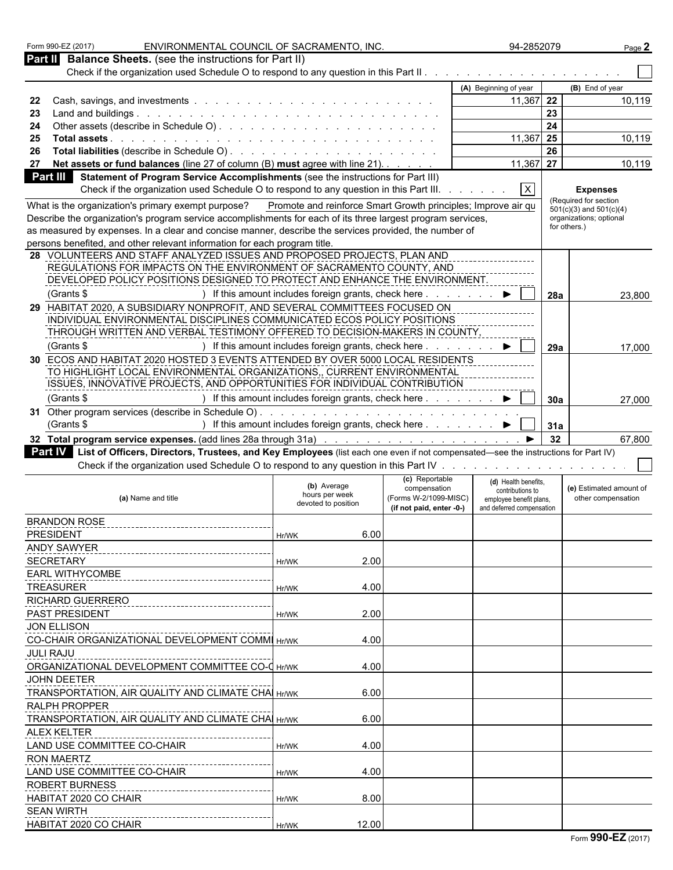| ENVIRONMENTAL COUNCIL OF SACRAMENTO, INC.<br>Form 990-EZ (2017)                                                                           |                                                                                                                                                                                                                                |                                                         | 94-2852079                                                          | Page 2                                                                                                                                                                                                                         |
|-------------------------------------------------------------------------------------------------------------------------------------------|--------------------------------------------------------------------------------------------------------------------------------------------------------------------------------------------------------------------------------|---------------------------------------------------------|---------------------------------------------------------------------|--------------------------------------------------------------------------------------------------------------------------------------------------------------------------------------------------------------------------------|
| Part II Balance Sheets. (see the instructions for Part II)                                                                                |                                                                                                                                                                                                                                |                                                         |                                                                     |                                                                                                                                                                                                                                |
|                                                                                                                                           |                                                                                                                                                                                                                                |                                                         |                                                                     |                                                                                                                                                                                                                                |
|                                                                                                                                           |                                                                                                                                                                                                                                |                                                         | (A) Beginning of year                                               | (B) End of year                                                                                                                                                                                                                |
|                                                                                                                                           |                                                                                                                                                                                                                                |                                                         | $11,367$ 22                                                         | 10,119                                                                                                                                                                                                                         |
| 23 Land and buildings.<br>the contract of the contract of the contract of the contract of the contract of the contract of the contract of |                                                                                                                                                                                                                                |                                                         |                                                                     | 23                                                                                                                                                                                                                             |
|                                                                                                                                           |                                                                                                                                                                                                                                |                                                         |                                                                     | 24                                                                                                                                                                                                                             |
| 25 Total assets.                                                                                                                          |                                                                                                                                                                                                                                |                                                         | $11,367$ 25                                                         | 10,119                                                                                                                                                                                                                         |
|                                                                                                                                           |                                                                                                                                                                                                                                |                                                         |                                                                     | 26                                                                                                                                                                                                                             |
| 27 Net assets or fund balances (line 27 of column (B) must agree with line 21).                                                           |                                                                                                                                                                                                                                |                                                         | $11,367$ 27                                                         | 10,119                                                                                                                                                                                                                         |
|                                                                                                                                           |                                                                                                                                                                                                                                |                                                         |                                                                     |                                                                                                                                                                                                                                |
| <b>Part III</b> Statement of Program Service Accomplishments (see the instructions for Part III)                                          |                                                                                                                                                                                                                                |                                                         |                                                                     |                                                                                                                                                                                                                                |
| Check if the organization used Schedule O to respond to any question in this Part III                                                     |                                                                                                                                                                                                                                |                                                         | $\mathbf{X}$                                                        | <b>Expenses</b>                                                                                                                                                                                                                |
| What is the organization's primary exempt purpose? Promote and reinforce Smart Growth principles; Improve air qu                          |                                                                                                                                                                                                                                |                                                         |                                                                     | (Required for section<br>$501(c)(3)$ and $501(c)(4)$                                                                                                                                                                           |
| Describe the organization's program service accomplishments for each of its three largest program services,                               |                                                                                                                                                                                                                                |                                                         |                                                                     | organizations; optional                                                                                                                                                                                                        |
| as measured by expenses. In a clear and concise manner, describe the services provided, the number of                                     |                                                                                                                                                                                                                                |                                                         |                                                                     | for others.)                                                                                                                                                                                                                   |
| persons benefited, and other relevant information for each program title.                                                                 |                                                                                                                                                                                                                                |                                                         |                                                                     |                                                                                                                                                                                                                                |
| 28 VOLUNTEERS AND STAFF ANALYZED ISSUES AND PROPOSED PROJECTS, PLAN AND                                                                   |                                                                                                                                                                                                                                |                                                         |                                                                     |                                                                                                                                                                                                                                |
| REGULATIONS FOR IMPACTS ON THE ENVIRONMENT OF SACRAMENTO COUNTY, AND                                                                      |                                                                                                                                                                                                                                |                                                         |                                                                     |                                                                                                                                                                                                                                |
| DEVELOPED POLICY POSITIONS DESIGNED TO PROTECT AND ENHANCE THE ENVIRONMENT                                                                |                                                                                                                                                                                                                                |                                                         |                                                                     |                                                                                                                                                                                                                                |
|                                                                                                                                           |                                                                                                                                                                                                                                |                                                         |                                                                     |                                                                                                                                                                                                                                |
| (Grants \$                                                                                                                                | ) If this amount includes foreign grants, check here.                                                                                                                                                                          |                                                         | $\blacktriangleright$ $\vdash$                                      | <b>28a</b><br>23,800                                                                                                                                                                                                           |
| 29 HABITAT 2020, A SUBSIDIARY NONPROFIT, AND SEVERAL COMMITTEES FOCUSED ON                                                                |                                                                                                                                                                                                                                |                                                         |                                                                     |                                                                                                                                                                                                                                |
| INDIVIDUAL ENVIRONMENTAL DISCIPLINES COMMUNICATED ECOS POLICY POSITIONS                                                                   |                                                                                                                                                                                                                                |                                                         |                                                                     |                                                                                                                                                                                                                                |
| THROUGH WRITTEN AND VERBAL TESTIMONY OFFERED TO DECISION-MAKERS IN COUNTY.                                                                |                                                                                                                                                                                                                                |                                                         |                                                                     |                                                                                                                                                                                                                                |
| (Grants \$                                                                                                                                | If this amount includes foreign grants, check here                                                                                                                                                                             |                                                         | $\blacktriangleright$                                               | $\overline{\phantom{a}}$ 29a<br>17,000                                                                                                                                                                                         |
| 30 ECOS AND HABITAT 2020 HOSTED 3 EVENTS ATTENDED BY OVER 5000 LOCAL RESIDENTS                                                            |                                                                                                                                                                                                                                |                                                         |                                                                     |                                                                                                                                                                                                                                |
| TO HIGHLIGHT LOCAL ENVIRONMENTAL ORGANIZATIONS,, CURRENT ENVIRONMENTAL                                                                    |                                                                                                                                                                                                                                |                                                         |                                                                     |                                                                                                                                                                                                                                |
| ISSUES, INNOVATIVE PROJECTS, AND OPPORTUNITIES FOR INDIVIDUAL CONTRIBUTION                                                                |                                                                                                                                                                                                                                |                                                         |                                                                     |                                                                                                                                                                                                                                |
| (Grants \$                                                                                                                                | ) If this amount includes foreign grants, check here $\ldots$ $\ldots$ $\blacktriangleright$ $\Box$ 30a                                                                                                                        |                                                         |                                                                     | 27,000                                                                                                                                                                                                                         |
|                                                                                                                                           |                                                                                                                                                                                                                                |                                                         |                                                                     |                                                                                                                                                                                                                                |
| 31 Other program services (describe in Schedule O). .                                                                                     | the second contract of the second contract of the second contract of the second contract of the second contract of the second contract of the second contract of the second contract of the second contract of the second cont |                                                         |                                                                     |                                                                                                                                                                                                                                |
| (Grants \$                                                                                                                                | ) If this amount includes foreign grants, check here ▶     31a                                                                                                                                                                 |                                                         |                                                                     |                                                                                                                                                                                                                                |
|                                                                                                                                           |                                                                                                                                                                                                                                |                                                         |                                                                     | 67,800                                                                                                                                                                                                                         |
|                                                                                                                                           |                                                                                                                                                                                                                                |                                                         |                                                                     |                                                                                                                                                                                                                                |
| Part IV List of Officers, Directors, Trustees, and Key Employees (list each one even if not compensated—see the instructions for Part IV) |                                                                                                                                                                                                                                |                                                         |                                                                     |                                                                                                                                                                                                                                |
|                                                                                                                                           |                                                                                                                                                                                                                                |                                                         |                                                                     |                                                                                                                                                                                                                                |
| Check if the organization used Schedule O to respond to any question in this Part IV                                                      |                                                                                                                                                                                                                                |                                                         |                                                                     | the contract of the contract of the contract of the contract of the contract of the contract of the contract of the contract of the contract of the contract of the contract of the contract of the contract of the contract o |
| (a) Name and title                                                                                                                        | (b) Average<br>hours per week<br>devoted to position                                                                                                                                                                           | (c) Reportable<br>compensation<br>(Forms W-2/1099-MISC) | (d) Health benefits.<br>contributions to<br>employee benefit plans, | (e) Estimated amount of<br>other compensation                                                                                                                                                                                  |
|                                                                                                                                           |                                                                                                                                                                                                                                | (if not paid, enter -0-)                                | and deferred compensation                                           |                                                                                                                                                                                                                                |
| <b>BRANDON ROSE</b>                                                                                                                       |                                                                                                                                                                                                                                |                                                         |                                                                     |                                                                                                                                                                                                                                |
| <b>PRESIDENT</b>                                                                                                                          | 6.00<br>Hr/WK                                                                                                                                                                                                                  |                                                         |                                                                     |                                                                                                                                                                                                                                |
| <b>ANDY SAWYER</b><br>---------------------------                                                                                         |                                                                                                                                                                                                                                |                                                         |                                                                     |                                                                                                                                                                                                                                |
| <b>SECRETARY</b>                                                                                                                          | 2.00<br>Hr/WK                                                                                                                                                                                                                  |                                                         |                                                                     |                                                                                                                                                                                                                                |
| <b>EARL WITHYCOMBE</b>                                                                                                                    |                                                                                                                                                                                                                                |                                                         |                                                                     |                                                                                                                                                                                                                                |
| ---------------------------------                                                                                                         | Hr/WK                                                                                                                                                                                                                          |                                                         |                                                                     |                                                                                                                                                                                                                                |
| <b>TREASURER</b>                                                                                                                          | 4.00                                                                                                                                                                                                                           |                                                         |                                                                     |                                                                                                                                                                                                                                |
| <b>RICHARD GUERRERO</b>                                                                                                                   |                                                                                                                                                                                                                                |                                                         |                                                                     |                                                                                                                                                                                                                                |
| PAST PRESIDENT                                                                                                                            | 2.00<br>Hr/WK                                                                                                                                                                                                                  |                                                         |                                                                     |                                                                                                                                                                                                                                |
| JON ELLISON                                                                                                                               |                                                                                                                                                                                                                                |                                                         |                                                                     |                                                                                                                                                                                                                                |
| CO-CHAIR ORGANIZATIONAL DEVELOPMENT COMMI Hr/WK                                                                                           | 4.00                                                                                                                                                                                                                           |                                                         |                                                                     |                                                                                                                                                                                                                                |
| <b>JULI RAJU</b>                                                                                                                          |                                                                                                                                                                                                                                |                                                         |                                                                     |                                                                                                                                                                                                                                |
| ORGANIZATIONAL DEVELOPMENT COMMITTEE CO-C Hr/WK                                                                                           | 4.00                                                                                                                                                                                                                           |                                                         |                                                                     |                                                                                                                                                                                                                                |
| JOHN DEETER                                                                                                                               |                                                                                                                                                                                                                                |                                                         |                                                                     |                                                                                                                                                                                                                                |
|                                                                                                                                           |                                                                                                                                                                                                                                |                                                         |                                                                     |                                                                                                                                                                                                                                |
| TRANSPORTATION, AIR QUALITY AND CLIMATE CHA Hr/WK                                                                                         | 6.00                                                                                                                                                                                                                           |                                                         |                                                                     |                                                                                                                                                                                                                                |
| <b>RALPH PROPPER</b>                                                                                                                      |                                                                                                                                                                                                                                |                                                         |                                                                     |                                                                                                                                                                                                                                |
| TRANSPORTATION, AIR QUALITY AND CLIMATE CHAI Hr/WK                                                                                        | 6.00                                                                                                                                                                                                                           |                                                         |                                                                     |                                                                                                                                                                                                                                |
| <b>ALEX KELTER</b>                                                                                                                        |                                                                                                                                                                                                                                |                                                         |                                                                     |                                                                                                                                                                                                                                |
| LAND USE COMMITTEE CO-CHAIR                                                                                                               | 4.00<br>Hr/WK                                                                                                                                                                                                                  |                                                         |                                                                     |                                                                                                                                                                                                                                |
| <b>RON MAERTZ</b>                                                                                                                         |                                                                                                                                                                                                                                |                                                         |                                                                     |                                                                                                                                                                                                                                |
| -----------<br>LAND USE COMMITTEE CO-CHAIR                                                                                                | 4.00<br>Hr/WK                                                                                                                                                                                                                  |                                                         |                                                                     |                                                                                                                                                                                                                                |
|                                                                                                                                           |                                                                                                                                                                                                                                |                                                         |                                                                     |                                                                                                                                                                                                                                |
| <b>ROBERT BURNESS</b>                                                                                                                     |                                                                                                                                                                                                                                |                                                         |                                                                     |                                                                                                                                                                                                                                |
| HABITAT 2020 CO CHAIR                                                                                                                     | 8.00<br>Hr/WK                                                                                                                                                                                                                  |                                                         |                                                                     |                                                                                                                                                                                                                                |
| <b>SEAN WIRTH</b><br>--------------------<br>HABITAT 2020 CO CHAIR                                                                        | 12.00<br>Hr/WK                                                                                                                                                                                                                 |                                                         |                                                                     |                                                                                                                                                                                                                                |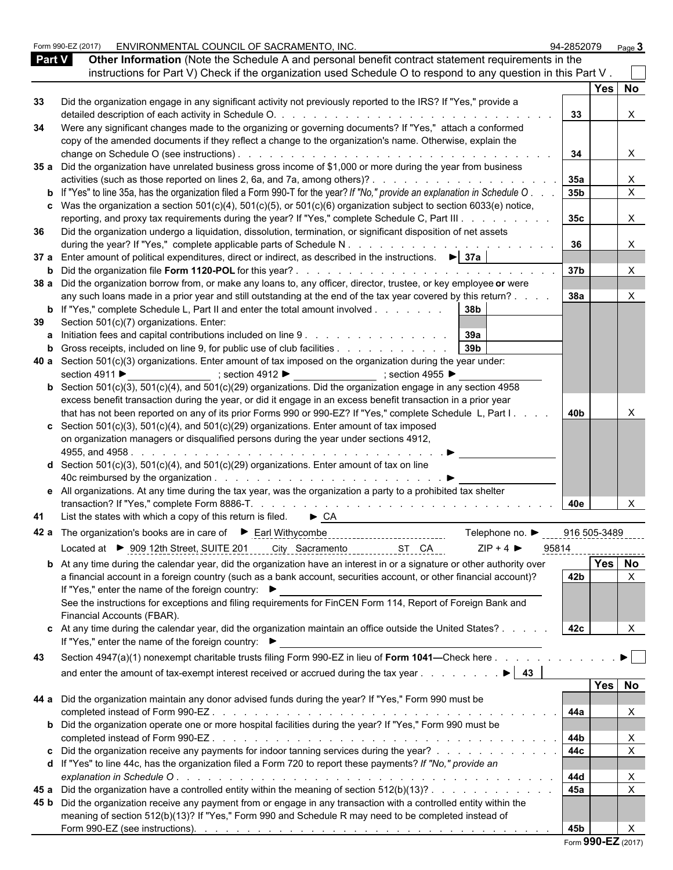|               | Form 990-EZ (2017) | ENVIRONMENTAL COUNCIL OF SACRAMENTO, INC.                                                                                                                                                                                                                                             | 94-2852079       |        | Page $3$              |  |
|---------------|--------------------|---------------------------------------------------------------------------------------------------------------------------------------------------------------------------------------------------------------------------------------------------------------------------------------|------------------|--------|-----------------------|--|
| <b>Part V</b> |                    | Other Information (Note the Schedule A and personal benefit contract statement requirements in the                                                                                                                                                                                    |                  |        |                       |  |
|               |                    | instructions for Part V) Check if the organization used Schedule O to respond to any question in this Part V.                                                                                                                                                                         |                  |        |                       |  |
|               |                    |                                                                                                                                                                                                                                                                                       |                  | Yes No |                       |  |
| 33            |                    | Did the organization engage in any significant activity not previously reported to the IRS? If "Yes," provide a                                                                                                                                                                       |                  |        |                       |  |
|               |                    | detailed description of each activity in Schedule O.<br>and the companion of the companion of the companion of the companion of the companion of the companion of the companion of the companion of the companion of the companion of the companion of the companion of the companion | 33               |        | X                     |  |
| 34            |                    | Were any significant changes made to the organizing or governing documents? If "Yes," attach a conformed                                                                                                                                                                              |                  |        |                       |  |
|               |                    | copy of the amended documents if they reflect a change to the organization's name. Otherwise, explain the                                                                                                                                                                             |                  |        |                       |  |
|               |                    |                                                                                                                                                                                                                                                                                       | 34               |        | $\times$              |  |
|               |                    | 35 a Did the organization have unrelated business gross income of \$1,000 or more during the year from business                                                                                                                                                                       |                  |        |                       |  |
|               |                    |                                                                                                                                                                                                                                                                                       | 35а              |        | X                     |  |
|               |                    | <b>b</b> If "Yes" to line 35a, has the organization filed a Form 990-T for the year? If "No," provide an explanation in Schedule O.                                                                                                                                                   | 35 <sub>b</sub>  |        | $\overline{X}$        |  |
|               |                    | c Was the organization a section $501(c)(4)$ , $501(c)(5)$ , or $501(c)(6)$ organization subject to section 6033(e) notice,                                                                                                                                                           |                  |        |                       |  |
|               |                    | reporting, and proxy tax requirements during the year? If "Yes," complete Schedule C, Part III                                                                                                                                                                                        | 35c              |        | X                     |  |
| 36            |                    | Did the organization undergo a liquidation, dissolution, termination, or significant disposition of net assets                                                                                                                                                                        |                  |        |                       |  |
|               |                    | during the year? If "Yes," complete applicable parts of Schedule N.                                                                                                                                                                                                                   | 36               |        | X                     |  |
|               |                    | 37 a Enter amount of political expenditures, direct or indirect, as described in the instructions. $\blacktriangleright$ 37a                                                                                                                                                          |                  |        |                       |  |
|               |                    |                                                                                                                                                                                                                                                                                       | 37b              |        | X                     |  |
|               |                    | 38 a Did the organization borrow from, or make any loans to, any officer, director, trustee, or key employee or were                                                                                                                                                                  |                  |        |                       |  |
|               |                    | any such loans made in a prior year and still outstanding at the end of the tax year covered by this return?                                                                                                                                                                          | 38a              |        | $\times$              |  |
|               |                    | <b>b</b> If "Yes," complete Schedule L, Part II and enter the total amount involved 38b                                                                                                                                                                                               |                  |        |                       |  |
| 39            |                    | Section 501(c)(7) organizations. Enter:                                                                                                                                                                                                                                               |                  |        |                       |  |
| a             |                    | Initiation fees and capital contributions included on line 9 39a                                                                                                                                                                                                                      |                  |        |                       |  |
| b             |                    | 39 <sub>b</sub><br>Gross receipts, included on line 9, for public use of club facilities                                                                                                                                                                                              |                  |        |                       |  |
|               |                    | 40 a Section $501(c)(3)$ organizations. Enter amount of tax imposed on the organization during the year under:                                                                                                                                                                        |                  |        |                       |  |
|               |                    | _____________________; section 4912 ▶ ____________________; section 4955 ▶<br>section 4911 ▶                                                                                                                                                                                          |                  |        |                       |  |
|               |                    | <b>b</b> Section 501(c)(3), 501(c)(4), and 501(c)(29) organizations. Did the organization engage in any section 4958                                                                                                                                                                  |                  |        |                       |  |
|               |                    | excess benefit transaction during the year, or did it engage in an excess benefit transaction in a prior year                                                                                                                                                                         |                  |        |                       |  |
|               |                    | that has not been reported on any of its prior Forms 990 or 990-EZ? If "Yes," complete Schedule L, Part I.                                                                                                                                                                            | 40b              |        |                       |  |
|               |                    | c Section 501(c)(3), 501(c)(4), and 501(c)(29) organizations. Enter amount of tax imposed                                                                                                                                                                                             |                  |        |                       |  |
|               |                    | on organization managers or disqualified persons during the year under sections 4912,                                                                                                                                                                                                 |                  |        |                       |  |
|               |                    |                                                                                                                                                                                                                                                                                       |                  |        |                       |  |
|               |                    | d Section 501(c)(3), 501(c)(4), and 501(c)(29) organizations. Enter amount of tax on line                                                                                                                                                                                             |                  |        |                       |  |
|               |                    | e All organizations. At any time during the tax year, was the organization a party to a prohibited tax shelter                                                                                                                                                                        |                  |        |                       |  |
|               |                    |                                                                                                                                                                                                                                                                                       |                  |        |                       |  |
|               |                    |                                                                                                                                                                                                                                                                                       | 40e              |        | X                     |  |
| 41            |                    | List the states with which a copy of this return is filed.<br>$\triangleright$ CA                                                                                                                                                                                                     |                  |        |                       |  |
|               |                    | Telephone no. ▶                                                                                                                                                                                                                                                                       | $-0.16$ 505-3489 |        |                       |  |
|               |                    | $ZIP + 4$<br>Located at ▶ 909 12th Street, SUITE 201 ____ City_Sacramento<br>ST CA                                                                                                                                                                                                    | 95814            |        |                       |  |
|               |                    | <b>b</b> At any time during the calendar year, did the organization have an interest in or a signature or other authority over                                                                                                                                                        |                  | Yes No |                       |  |
|               |                    | a financial account in a foreign country (such as a bank account, securities account, or other financial account)?                                                                                                                                                                    | 42 <b>b</b>      |        | $\times$              |  |
|               |                    | If "Yes," enter the name of the foreign country: ▶                                                                                                                                                                                                                                    |                  |        |                       |  |
|               |                    | See the instructions for exceptions and filing requirements for FinCEN Form 114, Report of Foreign Bank and                                                                                                                                                                           |                  |        |                       |  |
|               |                    | Financial Accounts (FBAR).                                                                                                                                                                                                                                                            |                  |        |                       |  |
|               |                    | c At any time during the calendar year, did the organization maintain an office outside the United States?<br>If "Yes," enter the name of the foreign country: ▶                                                                                                                      | 42c              |        |                       |  |
| 43            |                    | Section 4947(a)(1) nonexempt charitable trusts filing Form 990-EZ in lieu of Form 1041-Check here                                                                                                                                                                                     |                  |        | $\blacktriangleright$ |  |
|               |                    |                                                                                                                                                                                                                                                                                       |                  |        |                       |  |
|               |                    | and enter the amount of tax-exempt interest received or accrued during the tax year $\dots$ $\dots$ $\dots$                                                                                                                                                                           |                  |        |                       |  |
|               |                    |                                                                                                                                                                                                                                                                                       |                  | Yes No |                       |  |
|               |                    | 44 a Did the organization maintain any donor advised funds during the year? If "Yes," Form 990 must be                                                                                                                                                                                |                  |        |                       |  |
|               |                    |                                                                                                                                                                                                                                                                                       | 44a              |        | X                     |  |
|               |                    | <b>b</b> Did the organization operate one or more hospital facilities during the year? If "Yes," Form 990 must be                                                                                                                                                                     |                  |        |                       |  |
|               |                    |                                                                                                                                                                                                                                                                                       | 44b              |        | X<br>$\mathsf{X}$     |  |
|               |                    | c Did the organization receive any payments for indoor tanning services during the year?                                                                                                                                                                                              | 44c              |        |                       |  |
|               |                    | d If "Yes" to line 44c, has the organization filed a Form 720 to report these payments? If "No," provide an                                                                                                                                                                           |                  |        |                       |  |
|               |                    |                                                                                                                                                                                                                                                                                       | 44d              |        | X                     |  |
|               |                    | 45 a Did the organization have a controlled entity within the meaning of section 512(b)(13)?                                                                                                                                                                                          | 45a              |        | $\times$              |  |
|               |                    | 45 b Did the organization receive any payment from or engage in any transaction with a controlled entity within the                                                                                                                                                                   |                  |        |                       |  |
|               |                    | meaning of section 512(b)(13)? If "Yes," Form 990 and Schedule R may need to be completed instead of                                                                                                                                                                                  |                  |        |                       |  |
|               |                    |                                                                                                                                                                                                                                                                                       | 45 <b>b</b>      |        | $\times$              |  |

|  |  | Form 990-EZ (2017) |  |  |
|--|--|--------------------|--|--|
|--|--|--------------------|--|--|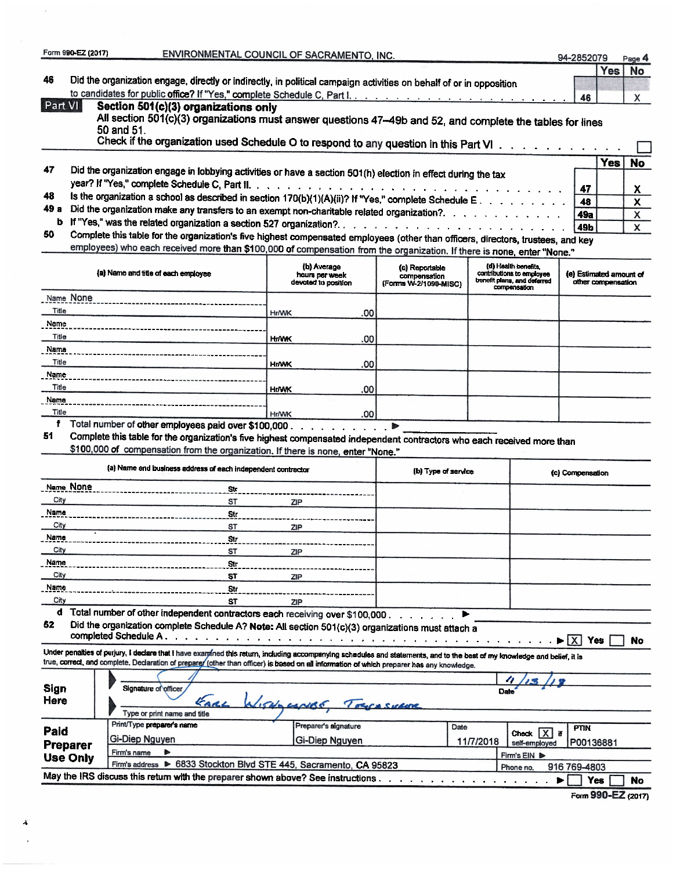|                      | Form 990-EZ (2017) |                                                                                                                                                                                                                                                                                                                          | ENVIRONMENTAL COUNCIL OF SACRAMENTO, INC.            |                                                         |           |                                                                                                  | 94-2852079                                                  |                    | Page 4             |
|----------------------|--------------------|--------------------------------------------------------------------------------------------------------------------------------------------------------------------------------------------------------------------------------------------------------------------------------------------------------------------------|------------------------------------------------------|---------------------------------------------------------|-----------|--------------------------------------------------------------------------------------------------|-------------------------------------------------------------|--------------------|--------------------|
|                      |                    |                                                                                                                                                                                                                                                                                                                          |                                                      |                                                         |           |                                                                                                  |                                                             | Yes                | No                 |
| 46                   |                    | Did the organization engage, directly or indirectly, in political campaign activities on behalf of or in opposition                                                                                                                                                                                                      |                                                      |                                                         |           |                                                                                                  |                                                             |                    |                    |
|                      |                    |                                                                                                                                                                                                                                                                                                                          |                                                      |                                                         |           |                                                                                                  | 46                                                          |                    | X                  |
| Part VI              |                    | Section 501(c)(3) organizations only<br>All section 501(c)(3) organizations must answer questions 47-49b and 52, and complete the tables for lines                                                                                                                                                                       |                                                      |                                                         |           |                                                                                                  |                                                             |                    |                    |
|                      |                    | 50 and 51.                                                                                                                                                                                                                                                                                                               |                                                      |                                                         |           |                                                                                                  |                                                             |                    |                    |
|                      |                    | Check if the organization used Schedule O to respond to any question in this Part VI                                                                                                                                                                                                                                     |                                                      |                                                         |           |                                                                                                  |                                                             |                    |                    |
|                      |                    |                                                                                                                                                                                                                                                                                                                          |                                                      |                                                         |           |                                                                                                  |                                                             | <b>Yes</b>         | No                 |
| 47                   |                    | Did the organization engage in lobbying activities or have a section 501(h) election in effect during the tax                                                                                                                                                                                                            |                                                      |                                                         |           |                                                                                                  |                                                             |                    |                    |
| 48                   |                    |                                                                                                                                                                                                                                                                                                                          |                                                      |                                                         |           |                                                                                                  | 47                                                          |                    | X                  |
| 49 а                 |                    | Is the organization a school as described in section 170(b)(1)(A)(ii)? If "Yes," complete Schedule E.                                                                                                                                                                                                                    |                                                      |                                                         |           |                                                                                                  | 48                                                          |                    | X                  |
|                      |                    | Did the organization make any transfers to an exempt non-charitable related organization?.                                                                                                                                                                                                                               |                                                      |                                                         |           |                                                                                                  | 49a                                                         |                    | x                  |
| 50                   |                    | Complete this table for the organization's five highest compensated employees (other than officers, directors, trustees, and key                                                                                                                                                                                         |                                                      |                                                         |           |                                                                                                  | 49b                                                         |                    | X                  |
|                      |                    | employees) who each received more than \$100,000 of compensation from the organization. If there is none, enter "None."                                                                                                                                                                                                  |                                                      |                                                         |           |                                                                                                  |                                                             |                    |                    |
|                      |                    |                                                                                                                                                                                                                                                                                                                          |                                                      |                                                         |           |                                                                                                  |                                                             |                    |                    |
|                      |                    | (a) Name and title of each employee                                                                                                                                                                                                                                                                                      | (b) Average<br>hours per week<br>devoted to position | (c) Reportable<br>compensation<br>(Forms W-2/1099-MISC) |           | (d) Health benefits,<br>contributions to employee<br>benefit plans, and deferred<br>compensation | (e) Estimated amount of                                     | other compensation |                    |
|                      | Name None          |                                                                                                                                                                                                                                                                                                                          |                                                      |                                                         |           |                                                                                                  |                                                             |                    |                    |
| Title                |                    |                                                                                                                                                                                                                                                                                                                          | <b>Hr/WK</b><br>.00                                  |                                                         |           |                                                                                                  |                                                             |                    |                    |
| Name                 |                    |                                                                                                                                                                                                                                                                                                                          |                                                      |                                                         |           |                                                                                                  |                                                             |                    |                    |
| Title<br>Name        |                    |                                                                                                                                                                                                                                                                                                                          | <b>Hr/WK</b><br>.00                                  |                                                         |           |                                                                                                  |                                                             |                    |                    |
| Title                |                    |                                                                                                                                                                                                                                                                                                                          | .00<br><b>HIMK</b>                                   |                                                         |           |                                                                                                  |                                                             |                    |                    |
| Name                 |                    |                                                                                                                                                                                                                                                                                                                          |                                                      |                                                         |           |                                                                                                  |                                                             |                    |                    |
| Title                |                    |                                                                                                                                                                                                                                                                                                                          | .00<br><b>HtWK</b>                                   |                                                         |           |                                                                                                  |                                                             |                    |                    |
| Name                 |                    |                                                                                                                                                                                                                                                                                                                          |                                                      |                                                         |           |                                                                                                  |                                                             |                    |                    |
| Title                |                    |                                                                                                                                                                                                                                                                                                                          | .00<br><b>Hr/WK</b>                                  |                                                         |           |                                                                                                  |                                                             |                    |                    |
| f<br>51              |                    | Total number of other employees paid over \$100,000.                                                                                                                                                                                                                                                                     | <b>San American Common</b>                           |                                                         |           |                                                                                                  |                                                             |                    |                    |
|                      |                    | Complete this table for the organization's five highest compensated independent contractors who each received more than<br>\$100,000 of compensation from the organization. If there is none, enter "None."                                                                                                              |                                                      |                                                         |           |                                                                                                  |                                                             |                    |                    |
|                      |                    |                                                                                                                                                                                                                                                                                                                          |                                                      |                                                         |           |                                                                                                  |                                                             |                    |                    |
|                      |                    | (a) Name and business address of each independent contractor                                                                                                                                                                                                                                                             |                                                      | (b) Type of service                                     |           |                                                                                                  | (c) Compensation                                            |                    |                    |
| Name None            |                    | Str.                                                                                                                                                                                                                                                                                                                     |                                                      |                                                         |           |                                                                                                  |                                                             |                    |                    |
| City                 |                    | <b>ST</b>                                                                                                                                                                                                                                                                                                                | ZIP                                                  |                                                         |           |                                                                                                  |                                                             |                    |                    |
| Name                 |                    | Str                                                                                                                                                                                                                                                                                                                      |                                                      |                                                         |           |                                                                                                  |                                                             |                    |                    |
| City<br><u> Name</u> |                    | ST                                                                                                                                                                                                                                                                                                                       | <b>ZIP</b>                                           |                                                         |           |                                                                                                  |                                                             |                    |                    |
| City                 |                    | 51 r<br>ST                                                                                                                                                                                                                                                                                                               | ZIP                                                  |                                                         |           |                                                                                                  |                                                             |                    |                    |
| Name                 |                    | Str                                                                                                                                                                                                                                                                                                                      |                                                      |                                                         |           |                                                                                                  |                                                             |                    |                    |
| City                 |                    | ST                                                                                                                                                                                                                                                                                                                       | ZIP                                                  |                                                         |           |                                                                                                  |                                                             |                    |                    |
| Name                 |                    | S(r)                                                                                                                                                                                                                                                                                                                     |                                                      |                                                         |           |                                                                                                  |                                                             |                    |                    |
| City                 |                    | ST                                                                                                                                                                                                                                                                                                                       | ZIP                                                  |                                                         |           |                                                                                                  |                                                             |                    |                    |
| d                    |                    | Total number of other independent contractors each receiving over \$100,000.                                                                                                                                                                                                                                             |                                                      |                                                         |           |                                                                                                  |                                                             |                    |                    |
| 52                   |                    | Did the organization complete Schedule A? Note: All section 501(c)(3) organizations must attach a                                                                                                                                                                                                                        |                                                      |                                                         |           |                                                                                                  | $\blacktriangleright$ $\begin{bmatrix} X \end{bmatrix}$ Yes |                    | No                 |
|                      |                    | Under penalties of perjury, I declare that I have examined this return, including accompanying schedules and statements, and to the best of my knowledge and belief, it is<br>true, correct, and complete. Declaration of preparer (other than officer) is based on all information of which preparer has any knowledge. |                                                      |                                                         |           |                                                                                                  |                                                             |                    |                    |
| Sign                 |                    | Signature of officer                                                                                                                                                                                                                                                                                                     |                                                      |                                                         |           |                                                                                                  |                                                             |                    |                    |
| Here                 |                    | GARL                                                                                                                                                                                                                                                                                                                     | W. WalacerBE                                         |                                                         |           |                                                                                                  |                                                             |                    |                    |
|                      |                    | Type or print name and title                                                                                                                                                                                                                                                                                             |                                                      |                                                         |           |                                                                                                  |                                                             |                    |                    |
| Paid                 |                    | Print/Type preparer's name                                                                                                                                                                                                                                                                                               | Preparer's signature                                 |                                                         | Date      |                                                                                                  | <b>PTIN</b>                                                 |                    |                    |
| Preparer             |                    | Gi-Diep Nguyen                                                                                                                                                                                                                                                                                                           | Gi-Diep Nguyen                                       |                                                         | 11/7/2018 | Check X if<br>self-employed                                                                      | P00136881                                                   |                    |                    |
| <b>Use Only</b>      |                    | Firm's name<br>ь                                                                                                                                                                                                                                                                                                         |                                                      |                                                         |           | Firm's EIN D                                                                                     |                                                             |                    |                    |
|                      |                    | Firm's address > 6833 Stockton Blvd STE 445, Sacramento, CA 95823                                                                                                                                                                                                                                                        |                                                      |                                                         |           | Phone no.                                                                                        | 916 769-4803                                                |                    |                    |
|                      |                    | May the IRS discuss this return with the preparer shown above? See instructions.                                                                                                                                                                                                                                         |                                                      |                                                         |           | ▶                                                                                                | <b>Yes</b>                                                  |                    | No                 |
|                      |                    |                                                                                                                                                                                                                                                                                                                          |                                                      |                                                         |           |                                                                                                  |                                                             |                    | Form 990-EZ (2017) |

 $\mathbf{x}$ 

۸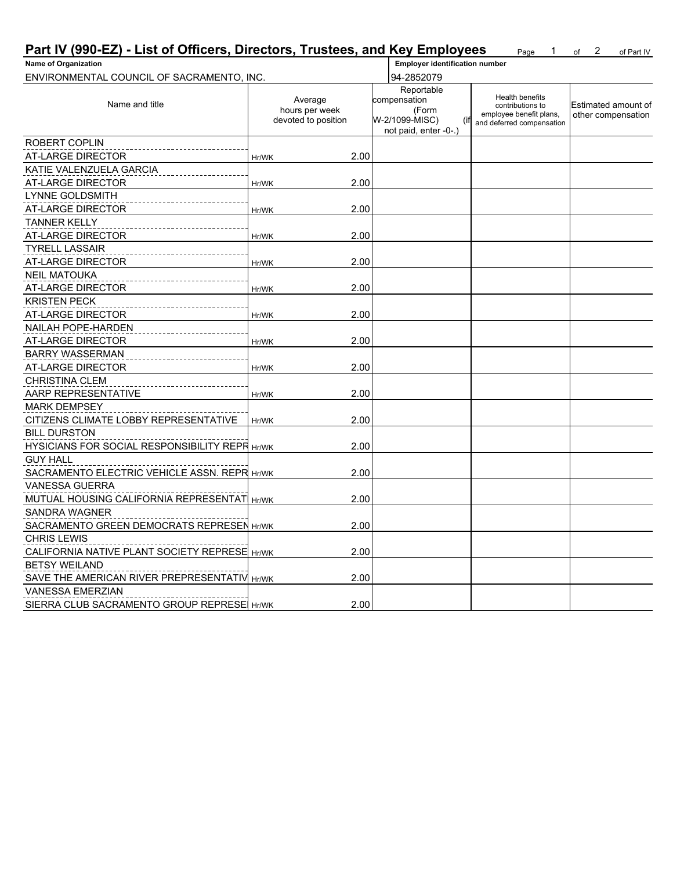| Part IV (990-EZ) - List of Officers, Directors, Trustees, and Key Employees |                                                  |                                                                                      | 1.<br>Page                                                                                  | 2<br>of<br>of Part IV                     |
|-----------------------------------------------------------------------------|--------------------------------------------------|--------------------------------------------------------------------------------------|---------------------------------------------------------------------------------------------|-------------------------------------------|
| <b>Name of Organization</b>                                                 |                                                  | <b>Employer identification number</b>                                                |                                                                                             |                                           |
| ENVIRONMENTAL COUNCIL OF SACRAMENTO, INC.                                   |                                                  | 94-2852079                                                                           |                                                                                             |                                           |
| Name and title                                                              | Average<br>hours per week<br>devoted to position | Reportable<br>compensation<br>(Form<br>W-2/1099-MISC)<br>(if<br>not paid, enter -0-. | Health benefits<br>contributions to<br>employee benefit plans,<br>and deferred compensation | Estimated amount of<br>other compensation |
| <b>ROBERT COPLIN</b>                                                        |                                                  |                                                                                      |                                                                                             |                                           |
| <b>AT-LARGE DIRECTOR</b>                                                    | 2.00<br>Hr/WK                                    |                                                                                      |                                                                                             |                                           |
| KATIE VALENZUELA GARCIA                                                     |                                                  |                                                                                      |                                                                                             |                                           |
| AT-LARGE DIRECTOR                                                           | 2.00<br>Hr/WK                                    |                                                                                      |                                                                                             |                                           |
| <b>LYNNE GOLDSMITH</b>                                                      |                                                  |                                                                                      |                                                                                             |                                           |
| AT-LARGE DIRECTOR                                                           | 2.00<br>Hr/WK                                    |                                                                                      |                                                                                             |                                           |
| <b>TANNER KELLY</b>                                                         |                                                  |                                                                                      |                                                                                             |                                           |
| AT-LARGE DIRECTOR                                                           | 2.00<br>Hr/WK                                    |                                                                                      |                                                                                             |                                           |
| <b>TYRELL LASSAIR</b>                                                       |                                                  |                                                                                      |                                                                                             |                                           |
| AT-LARGE DIRECTOR                                                           | 2.00<br>Hr/WK                                    |                                                                                      |                                                                                             |                                           |
| <b>NEIL MATOUKA</b>                                                         |                                                  |                                                                                      |                                                                                             |                                           |
| AT-LARGE DIRECTOR                                                           | 2.00<br>Hr/WK                                    |                                                                                      |                                                                                             |                                           |
| <b>KRISTEN PECK</b>                                                         |                                                  |                                                                                      |                                                                                             |                                           |
| <b>AT-LARGE DIRECTOR</b>                                                    | 2.00<br>Hr/WK                                    |                                                                                      |                                                                                             |                                           |
| NAILAH POPE-HARDEN                                                          |                                                  |                                                                                      |                                                                                             |                                           |
| AT-LARGE DIRECTOR                                                           | 2.00<br>Hr/WK                                    |                                                                                      |                                                                                             |                                           |
| <b>BARRY WASSERMAN</b>                                                      |                                                  |                                                                                      |                                                                                             |                                           |
| AT-LARGE DIRECTOR                                                           | 2.00<br>Hr/WK                                    |                                                                                      |                                                                                             |                                           |
| <b>CHRISTINA CLEM</b>                                                       |                                                  |                                                                                      |                                                                                             |                                           |
| AARP REPRESENTATIVE                                                         | 2.00<br>Hr/WK                                    |                                                                                      |                                                                                             |                                           |
| <b>MARK DEMPSEY</b>                                                         |                                                  |                                                                                      |                                                                                             |                                           |
| CITIZENS CLIMATE LOBBY REPRESENTATIVE                                       | 2.00<br>Hr/WK                                    |                                                                                      |                                                                                             |                                           |
| <b>BILL DURSTON</b>                                                         |                                                  |                                                                                      |                                                                                             |                                           |
| <b>HYSICIANS FOR SOCIAL RESPONSIBILITY REPR Hr/WK</b>                       | 2.00                                             |                                                                                      |                                                                                             |                                           |
| <b>GUY HALL</b>                                                             |                                                  |                                                                                      |                                                                                             |                                           |
| SACRAMENTO ELECTRIC VEHICLE ASSN. REPR Hr/WK                                | 2.00                                             |                                                                                      |                                                                                             |                                           |
| <b>VANESSA GUERRA</b>                                                       |                                                  |                                                                                      |                                                                                             |                                           |
| MUTUAL HOUSING CALIFORNIA REPRESENTAT Hr/WK                                 | 2.00                                             |                                                                                      |                                                                                             |                                           |
| <b>SANDRA WAGNER</b>                                                        |                                                  |                                                                                      |                                                                                             |                                           |
| SACRAMENTO GREEN DEMOCRATS REPRESEN Hr/WK                                   | 2.00                                             |                                                                                      |                                                                                             |                                           |
| <b>CHRIS LEWIS</b>                                                          |                                                  |                                                                                      |                                                                                             |                                           |
| CALIFORNIA NATIVE PLANT SOCIETY REPRESE Hr/WK                               | 2.00                                             |                                                                                      |                                                                                             |                                           |
| <b>BETSY WEILAND</b>                                                        |                                                  |                                                                                      |                                                                                             |                                           |
| SAVE THE AMERICAN RIVER PREPRESENTATIV Hr/WK                                | 2.00                                             |                                                                                      |                                                                                             |                                           |
| <b>VANESSA EMERZIAN</b>                                                     |                                                  |                                                                                      |                                                                                             |                                           |
| SIERRA CLUB SACRAMENTO GROUP REPRESE Hr/WK                                  | 2.00                                             |                                                                                      |                                                                                             |                                           |
|                                                                             |                                                  |                                                                                      |                                                                                             |                                           |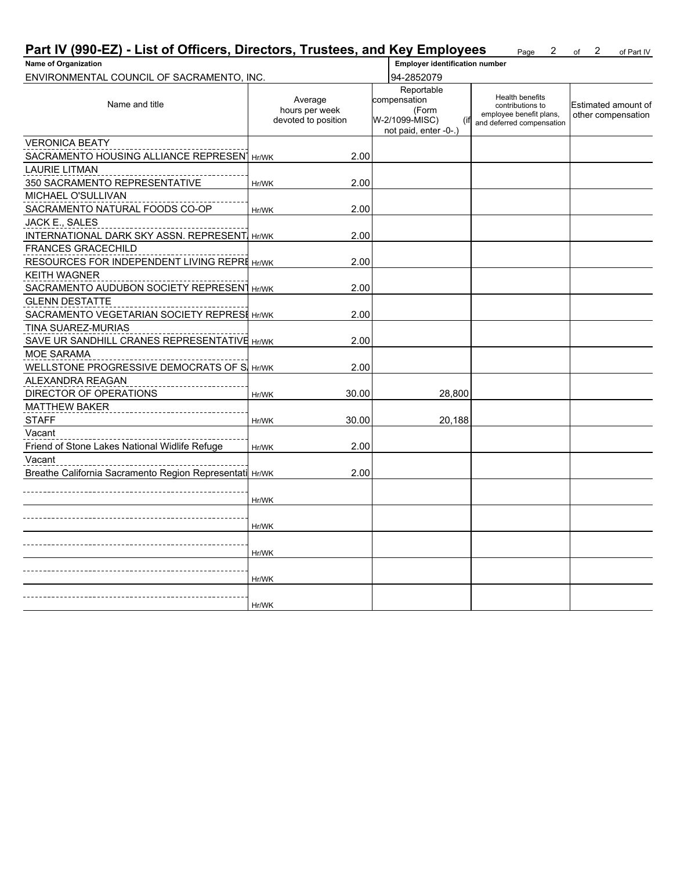| Part IV (990-EZ) - List of Officers, Directors, Trustees, and Key Employees |       |                                                  |                                                                       | 2<br>Page                                                                                          | 2<br>of<br>of Part IV                     |
|-----------------------------------------------------------------------------|-------|--------------------------------------------------|-----------------------------------------------------------------------|----------------------------------------------------------------------------------------------------|-------------------------------------------|
| <b>Name of Organization</b>                                                 |       |                                                  | <b>Employer identification number</b>                                 |                                                                                                    |                                           |
| ENVIRONMENTAL COUNCIL OF SACRAMENTO, INC.                                   |       |                                                  | 94-2852079<br>Reportable                                              |                                                                                                    |                                           |
| Name and title                                                              |       | Average<br>hours per week<br>devoted to position | compensation<br>(Form<br>W-2/1099-MISC)<br>(if<br>not paid, enter -0- | <b>Health benefits</b><br>contributions to<br>employee benefit plans,<br>and deferred compensation | Estimated amount of<br>other compensation |
| <b>VERONICA BEATY</b>                                                       |       |                                                  |                                                                       |                                                                                                    |                                           |
| SACRAMENTO HOUSING ALLIANCE REPRESEN Hr/WK                                  |       | 2.00                                             |                                                                       |                                                                                                    |                                           |
| <b>LAURIE LITMAN</b>                                                        |       |                                                  |                                                                       |                                                                                                    |                                           |
| 350 SACRAMENTO REPRESENTATIVE                                               | Hr/WK | 2.00                                             |                                                                       |                                                                                                    |                                           |
| MICHAEL O'SULLIVAN                                                          |       |                                                  |                                                                       |                                                                                                    |                                           |
| SACRAMENTO NATURAL FOODS CO-OP                                              | Hr/WK | 2.00                                             |                                                                       |                                                                                                    |                                           |
| JACK E., SALES                                                              |       |                                                  |                                                                       |                                                                                                    |                                           |
| <b>INTERNATIONAL DARK SKY ASSN. REPRESENT Hr/WK</b>                         |       | 2.00                                             |                                                                       |                                                                                                    |                                           |
| <b>FRANCES GRACECHILD</b>                                                   |       |                                                  |                                                                       |                                                                                                    |                                           |
| RESOURCES FOR INDEPENDENT LIVING REPRE Hr/WK                                |       | 2.00                                             |                                                                       |                                                                                                    |                                           |
| <b>KEITH WAGNER</b>                                                         |       |                                                  |                                                                       |                                                                                                    |                                           |
| SACRAMENTO AUDUBON SOCIETY REPRESENT Hr/WK                                  |       | 2.00                                             |                                                                       |                                                                                                    |                                           |
| <b>GLENN DESTATTE</b>                                                       |       |                                                  |                                                                       |                                                                                                    |                                           |
| SACRAMENTO VEGETARIAN SOCIETY REPRESH Hr/WK                                 |       | 2.00                                             |                                                                       |                                                                                                    |                                           |
| TINA SUAREZ-MURIAS                                                          |       |                                                  |                                                                       |                                                                                                    |                                           |
| SAVE UR SANDHILL CRANES REPRESENTATIVE Hr/WK                                |       | 2.00                                             |                                                                       |                                                                                                    |                                           |
| MOE SARAMA                                                                  |       |                                                  |                                                                       |                                                                                                    |                                           |
| WELLSTONE PROGRESSIVE DEMOCRATS OF S. Hr/WK                                 |       | 2.00                                             |                                                                       |                                                                                                    |                                           |
| ALEXANDRA REAGAN                                                            |       |                                                  |                                                                       |                                                                                                    |                                           |
| DIRECTOR OF OPERATIONS                                                      | Hr/WK | 30.00                                            | 28,800                                                                |                                                                                                    |                                           |
| <b>MATTHEW BAKER</b>                                                        |       |                                                  |                                                                       |                                                                                                    |                                           |
| <b>STAFF</b>                                                                | Hr/WK | 30.00                                            | 20,188                                                                |                                                                                                    |                                           |
| Vacant                                                                      |       |                                                  |                                                                       |                                                                                                    |                                           |
| Friend of Stone Lakes National Widlife Refuge                               | Hr/WK | 2.00                                             |                                                                       |                                                                                                    |                                           |
| Vacant                                                                      |       |                                                  |                                                                       |                                                                                                    |                                           |
| Breathe California Sacramento Region Representati Hr/WK                     |       | 2.00                                             |                                                                       |                                                                                                    |                                           |
|                                                                             |       |                                                  |                                                                       |                                                                                                    |                                           |
|                                                                             | Hr/WK |                                                  |                                                                       |                                                                                                    |                                           |
|                                                                             |       |                                                  |                                                                       |                                                                                                    |                                           |
|                                                                             | Hr/WK |                                                  |                                                                       |                                                                                                    |                                           |
|                                                                             |       |                                                  |                                                                       |                                                                                                    |                                           |
|                                                                             | Hr/WK |                                                  |                                                                       |                                                                                                    |                                           |
|                                                                             |       |                                                  |                                                                       |                                                                                                    |                                           |
|                                                                             | Hr/WK |                                                  |                                                                       |                                                                                                    |                                           |
|                                                                             |       |                                                  |                                                                       |                                                                                                    |                                           |
|                                                                             | Hr/WK |                                                  |                                                                       |                                                                                                    |                                           |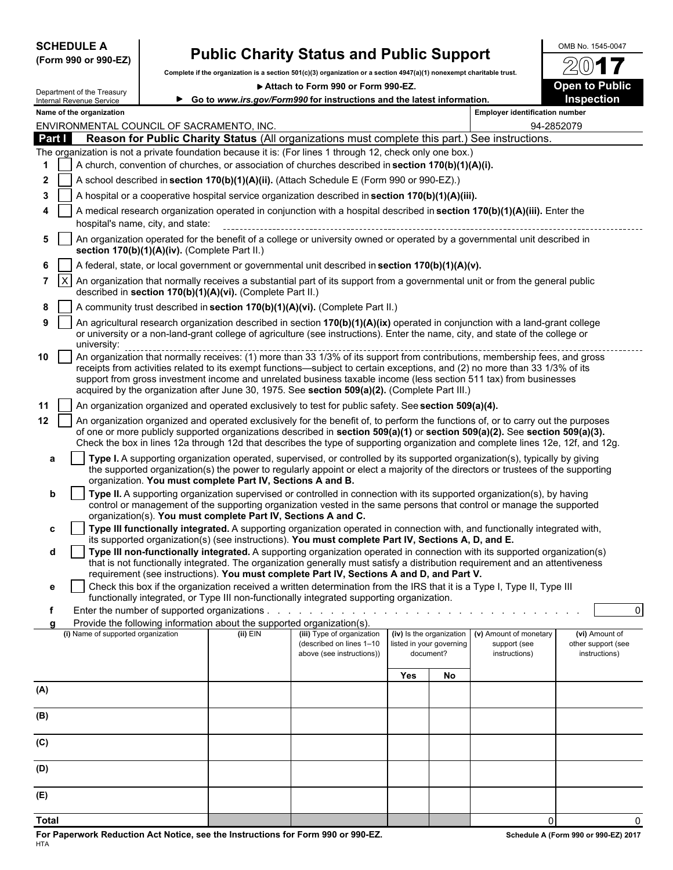| <b>SCHEDULE A</b> |  |                      |
|-------------------|--|----------------------|
|                   |  | (Form 990 or 990-EZ) |

Department of the Treasury

# **Public Charity Status and Public Support**  $\frac{\text{OMB No. 1545-0047}}{20}$

**Complete if the organization is a section 501(c)(3) organization or a section 4947(a)(1) nonexempt charitable trust.**

▶ Attach to Form 990 or Form 990-EZ. **Dem to Public** 

/2 **Go to** *www.irs.gov/Form990* **for instructions and the latest information. Inspection**

|                |              | Internal Revenue Service           |                                               |                                                                        | ► Go to www.irs.gov/Form990 for instructions and the latest information.                                                                                                                                                                                                                                                                                                                           |     |                                                                   |                                                         | <b>Inspection</b>                                     |
|----------------|--------------|------------------------------------|-----------------------------------------------|------------------------------------------------------------------------|----------------------------------------------------------------------------------------------------------------------------------------------------------------------------------------------------------------------------------------------------------------------------------------------------------------------------------------------------------------------------------------------------|-----|-------------------------------------------------------------------|---------------------------------------------------------|-------------------------------------------------------|
|                |              | Name of the organization           |                                               |                                                                        |                                                                                                                                                                                                                                                                                                                                                                                                    |     |                                                                   | <b>Employer identification number</b>                   |                                                       |
|                |              |                                    | ENVIRONMENTAL COUNCIL OF SACRAMENTO, INC.     |                                                                        |                                                                                                                                                                                                                                                                                                                                                                                                    |     |                                                                   |                                                         | 94-2852079                                            |
|                | Part I       |                                    |                                               |                                                                        | Reason for Public Charity Status (All organizations must complete this part.) See instructions.                                                                                                                                                                                                                                                                                                    |     |                                                                   |                                                         |                                                       |
|                |              |                                    |                                               |                                                                        | The organization is not a private foundation because it is: (For lines 1 through 12, check only one box.)                                                                                                                                                                                                                                                                                          |     |                                                                   |                                                         |                                                       |
|                |              |                                    |                                               |                                                                        | A church, convention of churches, or association of churches described in section 170(b)(1)(A)(i).                                                                                                                                                                                                                                                                                                 |     |                                                                   |                                                         |                                                       |
| 2              |              |                                    |                                               |                                                                        | A school described in section 170(b)(1)(A)(ii). (Attach Schedule E (Form 990 or 990-EZ).)                                                                                                                                                                                                                                                                                                          |     |                                                                   |                                                         |                                                       |
| 3              |              |                                    |                                               |                                                                        | A hospital or a cooperative hospital service organization described in section 170(b)(1)(A)(iii).                                                                                                                                                                                                                                                                                                  |     |                                                                   |                                                         |                                                       |
|                |              |                                    | hospital's name, city, and state:             |                                                                        | A medical research organization operated in conjunction with a hospital described in section 170(b)(1)(A)(iii). Enter the                                                                                                                                                                                                                                                                          |     |                                                                   |                                                         |                                                       |
| 5              |              |                                    | section 170(b)(1)(A)(iv). (Complete Part II.) |                                                                        | An organization operated for the benefit of a college or university owned or operated by a governmental unit described in                                                                                                                                                                                                                                                                          |     |                                                                   |                                                         |                                                       |
| 6              |              |                                    |                                               |                                                                        | A federal, state, or local government or governmental unit described in section 170(b)(1)(A)(v).                                                                                                                                                                                                                                                                                                   |     |                                                                   |                                                         |                                                       |
| $\overline{7}$ | $\mathsf{X}$ |                                    |                                               | described in section 170(b)(1)(A)(vi). (Complete Part II.)             | An organization that normally receives a substantial part of its support from a governmental unit or from the general public                                                                                                                                                                                                                                                                       |     |                                                                   |                                                         |                                                       |
| 8              |              |                                    |                                               |                                                                        | A community trust described in section 170(b)(1)(A)(vi). (Complete Part II.)                                                                                                                                                                                                                                                                                                                       |     |                                                                   |                                                         |                                                       |
| 9              |              | university:                        |                                               |                                                                        | An agricultural research organization described in section 170(b)(1)(A)(ix) operated in conjunction with a land-grant college<br>or university or a non-land-grant college of agriculture (see instructions). Enter the name, city, and state of the college or                                                                                                                                    |     |                                                                   |                                                         |                                                       |
| 10             |              |                                    |                                               |                                                                        | receipts from activities related to its exempt functions—subject to certain exceptions, and (2) no more than 33 1/3% of its<br>support from gross investment income and unrelated business taxable income (less section 511 tax) from businesses<br>acquired by the organization after June 30, 1975. See section 509(a)(2). (Complete Part III.)                                                  |     |                                                                   |                                                         |                                                       |
|                |              |                                    |                                               |                                                                        |                                                                                                                                                                                                                                                                                                                                                                                                    |     |                                                                   |                                                         |                                                       |
| 11             |              |                                    |                                               |                                                                        | An organization organized and operated exclusively to test for public safety. See section 509(a)(4).                                                                                                                                                                                                                                                                                               |     |                                                                   |                                                         |                                                       |
| 12             |              |                                    |                                               |                                                                        | An organization organized and operated exclusively for the benefit of, to perform the functions of, or to carry out the purposes<br>of one or more publicly supported organizations described in section 509(a)(1) or section 509(a)(2). See section 509(a)(3).<br>Check the box in lines 12a through 12d that describes the type of supporting organization and complete lines 12e, 12f, and 12g. |     |                                                                   |                                                         |                                                       |
| а              |              |                                    |                                               | organization. You must complete Part IV, Sections A and B.             | Type I. A supporting organization operated, supervised, or controlled by its supported organization(s), typically by giving<br>the supported organization(s) the power to regularly appoint or elect a majority of the directors or trustees of the supporting                                                                                                                                     |     |                                                                   |                                                         |                                                       |
| b              |              |                                    |                                               |                                                                        | Type II. A supporting organization supervised or controlled in connection with its supported organization(s), by having<br>control or management of the supporting organization vested in the same persons that control or manage the supported                                                                                                                                                    |     |                                                                   |                                                         |                                                       |
|                |              |                                    |                                               | organization(s). You must complete Part IV, Sections A and C.          |                                                                                                                                                                                                                                                                                                                                                                                                    |     |                                                                   |                                                         |                                                       |
| c              |              |                                    |                                               |                                                                        | Type III functionally integrated. A supporting organization operated in connection with, and functionally integrated with,<br>its supported organization(s) (see instructions). You must complete Part IV, Sections A, D, and E.                                                                                                                                                                   |     |                                                                   |                                                         |                                                       |
| d              |              |                                    |                                               |                                                                        | Type III non-functionally integrated. A supporting organization operated in connection with its supported organization(s)<br>that is not functionally integrated. The organization generally must satisfy a distribution requirement and an attentiveness                                                                                                                                          |     |                                                                   |                                                         |                                                       |
|                |              |                                    |                                               |                                                                        | requirement (see instructions). You must complete Part IV, Sections A and D, and Part V.<br>Check this box if the organization received a written determination from the IRS that it is a Type I, Type II, Type III                                                                                                                                                                                |     |                                                                   |                                                         |                                                       |
|                |              |                                    |                                               |                                                                        | functionally integrated, or Type III non-functionally integrated supporting organization.                                                                                                                                                                                                                                                                                                          |     |                                                                   |                                                         |                                                       |
|                |              |                                    | Enter the number of supported organizations.  |                                                                        |                                                                                                                                                                                                                                                                                                                                                                                                    |     |                                                                   |                                                         | $\Omega$                                              |
|                | a            |                                    |                                               | Provide the following information about the supported organization(s). |                                                                                                                                                                                                                                                                                                                                                                                                    |     |                                                                   |                                                         |                                                       |
|                |              | (i) Name of supported organization |                                               | $(ii)$ EIN                                                             | (iii) Type of organization<br>(described on lines 1-10<br>above (see instructions))                                                                                                                                                                                                                                                                                                                |     | (iv) Is the organization<br>listed in your governing<br>document? | (v) Amount of monetary<br>support (see<br>instructions) | (vi) Amount of<br>other support (see<br>instructions) |
|                |              |                                    |                                               |                                                                        |                                                                                                                                                                                                                                                                                                                                                                                                    | Yes | No                                                                |                                                         |                                                       |
| (A)            |              |                                    |                                               |                                                                        |                                                                                                                                                                                                                                                                                                                                                                                                    |     |                                                                   |                                                         |                                                       |
| (B)            |              |                                    |                                               |                                                                        |                                                                                                                                                                                                                                                                                                                                                                                                    |     |                                                                   |                                                         |                                                       |
| (C)            |              |                                    |                                               |                                                                        |                                                                                                                                                                                                                                                                                                                                                                                                    |     |                                                                   |                                                         |                                                       |
| (D)            |              |                                    |                                               |                                                                        |                                                                                                                                                                                                                                                                                                                                                                                                    |     |                                                                   |                                                         |                                                       |
| (E)            |              |                                    |                                               |                                                                        |                                                                                                                                                                                                                                                                                                                                                                                                    |     |                                                                   |                                                         |                                                       |
| <b>Total</b>   |              |                                    |                                               |                                                                        |                                                                                                                                                                                                                                                                                                                                                                                                    |     |                                                                   | $\Omega$                                                | $\Omega$                                              |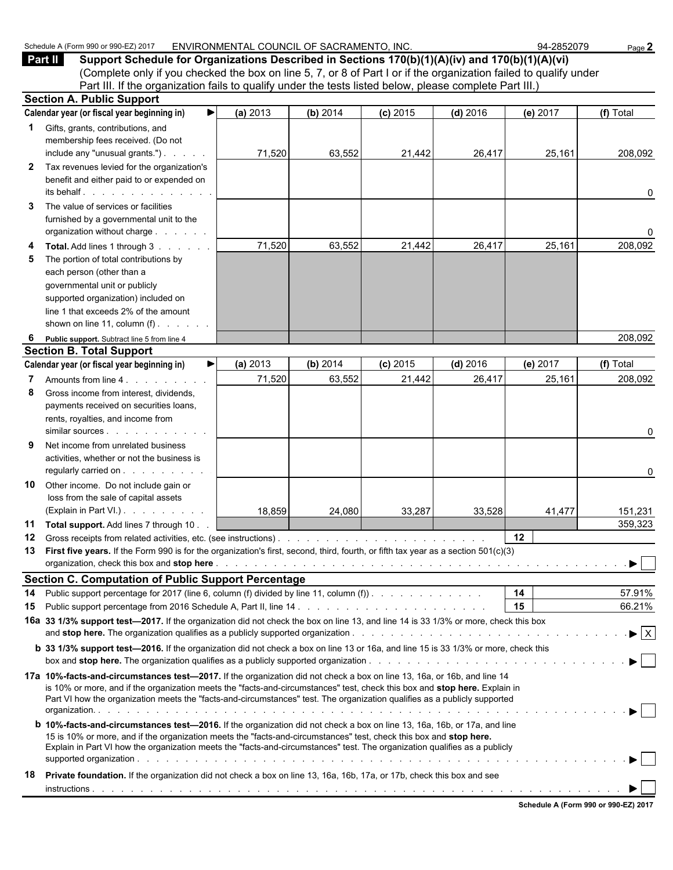| (Complete only if you checked the box on line 5, 7, or 8 of Part I or if the organization failed to qualify under<br>Part III. If the organization fails to qualify under the tests listed below, please complete Part III.)<br><b>Section A. Public Support</b><br>Calendar year (or fiscal year beginning in)<br>(a) 2013<br>(b) 2014<br>(f) Total<br>$(c)$ 2015<br>$(d)$ 2016<br>(e) 2017<br>▶<br>Gifts, grants, contributions, and<br>1.<br>membership fees received. (Do not<br>include any "unusual grants.")<br>71,520<br>63,552<br>25,161<br>21,442<br>26,417<br>208,092<br>Tax revenues levied for the organization's<br>$\mathbf{z}$<br>benefit and either paid to or expended on<br>its behalf.<br>0<br>The value of services or facilities<br>3<br>furnished by a governmental unit to the<br>organization without charge<br>0<br>71,520<br>63,552<br>21,442<br>26,417<br>25,161<br>208,092<br>Total. Add lines 1 through 3<br>4<br>The portion of total contributions by<br>5<br>each person (other than a<br>governmental unit or publicly<br>supported organization) included on<br>line 1 that exceeds 2% of the amount<br>shown on line 11, column $(f)$ .<br>208,092<br>Public support. Subtract line 5 from line 4<br>6<br><b>Section B. Total Support</b><br>Calendar year (or fiscal year beginning in)<br>▶<br>(a) 2013<br>(b) 2014<br>$(c)$ 2015<br>$(d)$ 2016<br>(e) 2017<br>(f) Total<br>71,520<br>63,552<br>25,161<br>21,442<br>26,417<br>208,092<br>Amounts from line 4.<br>7<br>Gross income from interest, dividends,<br>8<br>payments received on securities loans,<br>rents, royalties, and income from<br>0<br>9<br>Net income from unrelated business<br>activities, whether or not the business is<br>regularly carried on<br>0<br>Other income. Do not include gain or<br>10<br>loss from the sale of capital assets<br>(Explain in Part VI.)<br>18,859<br>24,080<br>33,287<br>33,528<br>41,477<br>151,231<br>359,323<br>Total support. Add lines 7 through 10.<br>11<br>12<br>$12 \,$<br>13 First five years. If the Form 990 is for the organization's first, second, third, fourth, or fifth tax year as a section 501(c)(3)<br>▶<br><b>Section C. Computation of Public Support Percentage</b><br>14<br>57.91%<br>Public support percentage for 2017 (line 6, column (f) divided by line 11, column (f)).<br>14<br>15<br>66.21%<br>15<br>16a 33 1/3% support test-2017. If the organization did not check the box on line 13, and line 14 is 33 1/3% or more, check this box<br>$\blacktriangleright$ $\mid$ X<br><b>b</b> 33 1/3% support test-2016. If the organization did not check a box on line 13 or 16a, and line 15 is 33 1/3% or more, check this<br>17a 10%-facts-and-circumstances test-2017. If the organization did not check a box on line 13, 16a, or 16b, and line 14<br>is 10% or more, and if the organization meets the "facts-and-circumstances" test, check this box and stop here. Explain in<br>Part VI how the organization meets the "facts-and-circumstances" test. The organization qualifies as a publicly supported<br><b>b 10%-facts-and-circumstances test-2016.</b> If the organization did not check a box on line 13, 16a, 16b, or 17a, and line<br>15 is 10% or more, and if the organization meets the "facts-and-circumstances" test, check this box and stop here.<br>Explain in Part VI how the organization meets the "facts-and-circumstances" test. The organization qualifies as a publicly<br><b>Private foundation.</b> If the organization did not check a box on line 13, 16a, 16b, 17a, or 17b, check this box and see<br>18 | <b>Part II</b><br>Support Schedule for Organizations Described in Sections 170(b)(1)(A)(iv) and 170(b)(1)(A)(vi) |  |  |  |
|----------------------------------------------------------------------------------------------------------------------------------------------------------------------------------------------------------------------------------------------------------------------------------------------------------------------------------------------------------------------------------------------------------------------------------------------------------------------------------------------------------------------------------------------------------------------------------------------------------------------------------------------------------------------------------------------------------------------------------------------------------------------------------------------------------------------------------------------------------------------------------------------------------------------------------------------------------------------------------------------------------------------------------------------------------------------------------------------------------------------------------------------------------------------------------------------------------------------------------------------------------------------------------------------------------------------------------------------------------------------------------------------------------------------------------------------------------------------------------------------------------------------------------------------------------------------------------------------------------------------------------------------------------------------------------------------------------------------------------------------------------------------------------------------------------------------------------------------------------------------------------------------------------------------------------------------------------------------------------------------------------------------------------------------------------------------------------------------------------------------------------------------------------------------------------------------------------------------------------------------------------------------------------------------------------------------------------------------------------------------------------------------------------------------------------------------------------------------------------------------------------------------------------------------------------------------------------------------------------------------------------------------------------------------------------------------------------------------------------------------------------------------------------------------------------------------------------------------------------------------------------------------------------------------------------------------------------------------------------------------------------------------------------------------------------------------------------------------------------------------------------------------------------------------------------------------------------------------------------------------------------------------------------------------------------------------------------------------------------------------------------------------------------------------------------------------------------------------------------------------------------------------------------------------------------------------------------------------------------------------|------------------------------------------------------------------------------------------------------------------|--|--|--|
|                                                                                                                                                                                                                                                                                                                                                                                                                                                                                                                                                                                                                                                                                                                                                                                                                                                                                                                                                                                                                                                                                                                                                                                                                                                                                                                                                                                                                                                                                                                                                                                                                                                                                                                                                                                                                                                                                                                                                                                                                                                                                                                                                                                                                                                                                                                                                                                                                                                                                                                                                                                                                                                                                                                                                                                                                                                                                                                                                                                                                                                                                                                                                                                                                                                                                                                                                                                                                                                                                                                                                                                                                      |                                                                                                                  |  |  |  |
|                                                                                                                                                                                                                                                                                                                                                                                                                                                                                                                                                                                                                                                                                                                                                                                                                                                                                                                                                                                                                                                                                                                                                                                                                                                                                                                                                                                                                                                                                                                                                                                                                                                                                                                                                                                                                                                                                                                                                                                                                                                                                                                                                                                                                                                                                                                                                                                                                                                                                                                                                                                                                                                                                                                                                                                                                                                                                                                                                                                                                                                                                                                                                                                                                                                                                                                                                                                                                                                                                                                                                                                                                      |                                                                                                                  |  |  |  |
|                                                                                                                                                                                                                                                                                                                                                                                                                                                                                                                                                                                                                                                                                                                                                                                                                                                                                                                                                                                                                                                                                                                                                                                                                                                                                                                                                                                                                                                                                                                                                                                                                                                                                                                                                                                                                                                                                                                                                                                                                                                                                                                                                                                                                                                                                                                                                                                                                                                                                                                                                                                                                                                                                                                                                                                                                                                                                                                                                                                                                                                                                                                                                                                                                                                                                                                                                                                                                                                                                                                                                                                                                      |                                                                                                                  |  |  |  |
|                                                                                                                                                                                                                                                                                                                                                                                                                                                                                                                                                                                                                                                                                                                                                                                                                                                                                                                                                                                                                                                                                                                                                                                                                                                                                                                                                                                                                                                                                                                                                                                                                                                                                                                                                                                                                                                                                                                                                                                                                                                                                                                                                                                                                                                                                                                                                                                                                                                                                                                                                                                                                                                                                                                                                                                                                                                                                                                                                                                                                                                                                                                                                                                                                                                                                                                                                                                                                                                                                                                                                                                                                      |                                                                                                                  |  |  |  |
|                                                                                                                                                                                                                                                                                                                                                                                                                                                                                                                                                                                                                                                                                                                                                                                                                                                                                                                                                                                                                                                                                                                                                                                                                                                                                                                                                                                                                                                                                                                                                                                                                                                                                                                                                                                                                                                                                                                                                                                                                                                                                                                                                                                                                                                                                                                                                                                                                                                                                                                                                                                                                                                                                                                                                                                                                                                                                                                                                                                                                                                                                                                                                                                                                                                                                                                                                                                                                                                                                                                                                                                                                      |                                                                                                                  |  |  |  |
|                                                                                                                                                                                                                                                                                                                                                                                                                                                                                                                                                                                                                                                                                                                                                                                                                                                                                                                                                                                                                                                                                                                                                                                                                                                                                                                                                                                                                                                                                                                                                                                                                                                                                                                                                                                                                                                                                                                                                                                                                                                                                                                                                                                                                                                                                                                                                                                                                                                                                                                                                                                                                                                                                                                                                                                                                                                                                                                                                                                                                                                                                                                                                                                                                                                                                                                                                                                                                                                                                                                                                                                                                      |                                                                                                                  |  |  |  |
|                                                                                                                                                                                                                                                                                                                                                                                                                                                                                                                                                                                                                                                                                                                                                                                                                                                                                                                                                                                                                                                                                                                                                                                                                                                                                                                                                                                                                                                                                                                                                                                                                                                                                                                                                                                                                                                                                                                                                                                                                                                                                                                                                                                                                                                                                                                                                                                                                                                                                                                                                                                                                                                                                                                                                                                                                                                                                                                                                                                                                                                                                                                                                                                                                                                                                                                                                                                                                                                                                                                                                                                                                      |                                                                                                                  |  |  |  |
|                                                                                                                                                                                                                                                                                                                                                                                                                                                                                                                                                                                                                                                                                                                                                                                                                                                                                                                                                                                                                                                                                                                                                                                                                                                                                                                                                                                                                                                                                                                                                                                                                                                                                                                                                                                                                                                                                                                                                                                                                                                                                                                                                                                                                                                                                                                                                                                                                                                                                                                                                                                                                                                                                                                                                                                                                                                                                                                                                                                                                                                                                                                                                                                                                                                                                                                                                                                                                                                                                                                                                                                                                      |                                                                                                                  |  |  |  |
|                                                                                                                                                                                                                                                                                                                                                                                                                                                                                                                                                                                                                                                                                                                                                                                                                                                                                                                                                                                                                                                                                                                                                                                                                                                                                                                                                                                                                                                                                                                                                                                                                                                                                                                                                                                                                                                                                                                                                                                                                                                                                                                                                                                                                                                                                                                                                                                                                                                                                                                                                                                                                                                                                                                                                                                                                                                                                                                                                                                                                                                                                                                                                                                                                                                                                                                                                                                                                                                                                                                                                                                                                      |                                                                                                                  |  |  |  |
|                                                                                                                                                                                                                                                                                                                                                                                                                                                                                                                                                                                                                                                                                                                                                                                                                                                                                                                                                                                                                                                                                                                                                                                                                                                                                                                                                                                                                                                                                                                                                                                                                                                                                                                                                                                                                                                                                                                                                                                                                                                                                                                                                                                                                                                                                                                                                                                                                                                                                                                                                                                                                                                                                                                                                                                                                                                                                                                                                                                                                                                                                                                                                                                                                                                                                                                                                                                                                                                                                                                                                                                                                      |                                                                                                                  |  |  |  |
|                                                                                                                                                                                                                                                                                                                                                                                                                                                                                                                                                                                                                                                                                                                                                                                                                                                                                                                                                                                                                                                                                                                                                                                                                                                                                                                                                                                                                                                                                                                                                                                                                                                                                                                                                                                                                                                                                                                                                                                                                                                                                                                                                                                                                                                                                                                                                                                                                                                                                                                                                                                                                                                                                                                                                                                                                                                                                                                                                                                                                                                                                                                                                                                                                                                                                                                                                                                                                                                                                                                                                                                                                      |                                                                                                                  |  |  |  |
|                                                                                                                                                                                                                                                                                                                                                                                                                                                                                                                                                                                                                                                                                                                                                                                                                                                                                                                                                                                                                                                                                                                                                                                                                                                                                                                                                                                                                                                                                                                                                                                                                                                                                                                                                                                                                                                                                                                                                                                                                                                                                                                                                                                                                                                                                                                                                                                                                                                                                                                                                                                                                                                                                                                                                                                                                                                                                                                                                                                                                                                                                                                                                                                                                                                                                                                                                                                                                                                                                                                                                                                                                      |                                                                                                                  |  |  |  |
|                                                                                                                                                                                                                                                                                                                                                                                                                                                                                                                                                                                                                                                                                                                                                                                                                                                                                                                                                                                                                                                                                                                                                                                                                                                                                                                                                                                                                                                                                                                                                                                                                                                                                                                                                                                                                                                                                                                                                                                                                                                                                                                                                                                                                                                                                                                                                                                                                                                                                                                                                                                                                                                                                                                                                                                                                                                                                                                                                                                                                                                                                                                                                                                                                                                                                                                                                                                                                                                                                                                                                                                                                      |                                                                                                                  |  |  |  |
|                                                                                                                                                                                                                                                                                                                                                                                                                                                                                                                                                                                                                                                                                                                                                                                                                                                                                                                                                                                                                                                                                                                                                                                                                                                                                                                                                                                                                                                                                                                                                                                                                                                                                                                                                                                                                                                                                                                                                                                                                                                                                                                                                                                                                                                                                                                                                                                                                                                                                                                                                                                                                                                                                                                                                                                                                                                                                                                                                                                                                                                                                                                                                                                                                                                                                                                                                                                                                                                                                                                                                                                                                      |                                                                                                                  |  |  |  |
|                                                                                                                                                                                                                                                                                                                                                                                                                                                                                                                                                                                                                                                                                                                                                                                                                                                                                                                                                                                                                                                                                                                                                                                                                                                                                                                                                                                                                                                                                                                                                                                                                                                                                                                                                                                                                                                                                                                                                                                                                                                                                                                                                                                                                                                                                                                                                                                                                                                                                                                                                                                                                                                                                                                                                                                                                                                                                                                                                                                                                                                                                                                                                                                                                                                                                                                                                                                                                                                                                                                                                                                                                      |                                                                                                                  |  |  |  |
|                                                                                                                                                                                                                                                                                                                                                                                                                                                                                                                                                                                                                                                                                                                                                                                                                                                                                                                                                                                                                                                                                                                                                                                                                                                                                                                                                                                                                                                                                                                                                                                                                                                                                                                                                                                                                                                                                                                                                                                                                                                                                                                                                                                                                                                                                                                                                                                                                                                                                                                                                                                                                                                                                                                                                                                                                                                                                                                                                                                                                                                                                                                                                                                                                                                                                                                                                                                                                                                                                                                                                                                                                      |                                                                                                                  |  |  |  |
|                                                                                                                                                                                                                                                                                                                                                                                                                                                                                                                                                                                                                                                                                                                                                                                                                                                                                                                                                                                                                                                                                                                                                                                                                                                                                                                                                                                                                                                                                                                                                                                                                                                                                                                                                                                                                                                                                                                                                                                                                                                                                                                                                                                                                                                                                                                                                                                                                                                                                                                                                                                                                                                                                                                                                                                                                                                                                                                                                                                                                                                                                                                                                                                                                                                                                                                                                                                                                                                                                                                                                                                                                      |                                                                                                                  |  |  |  |
|                                                                                                                                                                                                                                                                                                                                                                                                                                                                                                                                                                                                                                                                                                                                                                                                                                                                                                                                                                                                                                                                                                                                                                                                                                                                                                                                                                                                                                                                                                                                                                                                                                                                                                                                                                                                                                                                                                                                                                                                                                                                                                                                                                                                                                                                                                                                                                                                                                                                                                                                                                                                                                                                                                                                                                                                                                                                                                                                                                                                                                                                                                                                                                                                                                                                                                                                                                                                                                                                                                                                                                                                                      |                                                                                                                  |  |  |  |
|                                                                                                                                                                                                                                                                                                                                                                                                                                                                                                                                                                                                                                                                                                                                                                                                                                                                                                                                                                                                                                                                                                                                                                                                                                                                                                                                                                                                                                                                                                                                                                                                                                                                                                                                                                                                                                                                                                                                                                                                                                                                                                                                                                                                                                                                                                                                                                                                                                                                                                                                                                                                                                                                                                                                                                                                                                                                                                                                                                                                                                                                                                                                                                                                                                                                                                                                                                                                                                                                                                                                                                                                                      |                                                                                                                  |  |  |  |
|                                                                                                                                                                                                                                                                                                                                                                                                                                                                                                                                                                                                                                                                                                                                                                                                                                                                                                                                                                                                                                                                                                                                                                                                                                                                                                                                                                                                                                                                                                                                                                                                                                                                                                                                                                                                                                                                                                                                                                                                                                                                                                                                                                                                                                                                                                                                                                                                                                                                                                                                                                                                                                                                                                                                                                                                                                                                                                                                                                                                                                                                                                                                                                                                                                                                                                                                                                                                                                                                                                                                                                                                                      |                                                                                                                  |  |  |  |
|                                                                                                                                                                                                                                                                                                                                                                                                                                                                                                                                                                                                                                                                                                                                                                                                                                                                                                                                                                                                                                                                                                                                                                                                                                                                                                                                                                                                                                                                                                                                                                                                                                                                                                                                                                                                                                                                                                                                                                                                                                                                                                                                                                                                                                                                                                                                                                                                                                                                                                                                                                                                                                                                                                                                                                                                                                                                                                                                                                                                                                                                                                                                                                                                                                                                                                                                                                                                                                                                                                                                                                                                                      |                                                                                                                  |  |  |  |
|                                                                                                                                                                                                                                                                                                                                                                                                                                                                                                                                                                                                                                                                                                                                                                                                                                                                                                                                                                                                                                                                                                                                                                                                                                                                                                                                                                                                                                                                                                                                                                                                                                                                                                                                                                                                                                                                                                                                                                                                                                                                                                                                                                                                                                                                                                                                                                                                                                                                                                                                                                                                                                                                                                                                                                                                                                                                                                                                                                                                                                                                                                                                                                                                                                                                                                                                                                                                                                                                                                                                                                                                                      |                                                                                                                  |  |  |  |
|                                                                                                                                                                                                                                                                                                                                                                                                                                                                                                                                                                                                                                                                                                                                                                                                                                                                                                                                                                                                                                                                                                                                                                                                                                                                                                                                                                                                                                                                                                                                                                                                                                                                                                                                                                                                                                                                                                                                                                                                                                                                                                                                                                                                                                                                                                                                                                                                                                                                                                                                                                                                                                                                                                                                                                                                                                                                                                                                                                                                                                                                                                                                                                                                                                                                                                                                                                                                                                                                                                                                                                                                                      |                                                                                                                  |  |  |  |
|                                                                                                                                                                                                                                                                                                                                                                                                                                                                                                                                                                                                                                                                                                                                                                                                                                                                                                                                                                                                                                                                                                                                                                                                                                                                                                                                                                                                                                                                                                                                                                                                                                                                                                                                                                                                                                                                                                                                                                                                                                                                                                                                                                                                                                                                                                                                                                                                                                                                                                                                                                                                                                                                                                                                                                                                                                                                                                                                                                                                                                                                                                                                                                                                                                                                                                                                                                                                                                                                                                                                                                                                                      |                                                                                                                  |  |  |  |
|                                                                                                                                                                                                                                                                                                                                                                                                                                                                                                                                                                                                                                                                                                                                                                                                                                                                                                                                                                                                                                                                                                                                                                                                                                                                                                                                                                                                                                                                                                                                                                                                                                                                                                                                                                                                                                                                                                                                                                                                                                                                                                                                                                                                                                                                                                                                                                                                                                                                                                                                                                                                                                                                                                                                                                                                                                                                                                                                                                                                                                                                                                                                                                                                                                                                                                                                                                                                                                                                                                                                                                                                                      |                                                                                                                  |  |  |  |
|                                                                                                                                                                                                                                                                                                                                                                                                                                                                                                                                                                                                                                                                                                                                                                                                                                                                                                                                                                                                                                                                                                                                                                                                                                                                                                                                                                                                                                                                                                                                                                                                                                                                                                                                                                                                                                                                                                                                                                                                                                                                                                                                                                                                                                                                                                                                                                                                                                                                                                                                                                                                                                                                                                                                                                                                                                                                                                                                                                                                                                                                                                                                                                                                                                                                                                                                                                                                                                                                                                                                                                                                                      |                                                                                                                  |  |  |  |
|                                                                                                                                                                                                                                                                                                                                                                                                                                                                                                                                                                                                                                                                                                                                                                                                                                                                                                                                                                                                                                                                                                                                                                                                                                                                                                                                                                                                                                                                                                                                                                                                                                                                                                                                                                                                                                                                                                                                                                                                                                                                                                                                                                                                                                                                                                                                                                                                                                                                                                                                                                                                                                                                                                                                                                                                                                                                                                                                                                                                                                                                                                                                                                                                                                                                                                                                                                                                                                                                                                                                                                                                                      |                                                                                                                  |  |  |  |
|                                                                                                                                                                                                                                                                                                                                                                                                                                                                                                                                                                                                                                                                                                                                                                                                                                                                                                                                                                                                                                                                                                                                                                                                                                                                                                                                                                                                                                                                                                                                                                                                                                                                                                                                                                                                                                                                                                                                                                                                                                                                                                                                                                                                                                                                                                                                                                                                                                                                                                                                                                                                                                                                                                                                                                                                                                                                                                                                                                                                                                                                                                                                                                                                                                                                                                                                                                                                                                                                                                                                                                                                                      |                                                                                                                  |  |  |  |
|                                                                                                                                                                                                                                                                                                                                                                                                                                                                                                                                                                                                                                                                                                                                                                                                                                                                                                                                                                                                                                                                                                                                                                                                                                                                                                                                                                                                                                                                                                                                                                                                                                                                                                                                                                                                                                                                                                                                                                                                                                                                                                                                                                                                                                                                                                                                                                                                                                                                                                                                                                                                                                                                                                                                                                                                                                                                                                                                                                                                                                                                                                                                                                                                                                                                                                                                                                                                                                                                                                                                                                                                                      |                                                                                                                  |  |  |  |
|                                                                                                                                                                                                                                                                                                                                                                                                                                                                                                                                                                                                                                                                                                                                                                                                                                                                                                                                                                                                                                                                                                                                                                                                                                                                                                                                                                                                                                                                                                                                                                                                                                                                                                                                                                                                                                                                                                                                                                                                                                                                                                                                                                                                                                                                                                                                                                                                                                                                                                                                                                                                                                                                                                                                                                                                                                                                                                                                                                                                                                                                                                                                                                                                                                                                                                                                                                                                                                                                                                                                                                                                                      |                                                                                                                  |  |  |  |
|                                                                                                                                                                                                                                                                                                                                                                                                                                                                                                                                                                                                                                                                                                                                                                                                                                                                                                                                                                                                                                                                                                                                                                                                                                                                                                                                                                                                                                                                                                                                                                                                                                                                                                                                                                                                                                                                                                                                                                                                                                                                                                                                                                                                                                                                                                                                                                                                                                                                                                                                                                                                                                                                                                                                                                                                                                                                                                                                                                                                                                                                                                                                                                                                                                                                                                                                                                                                                                                                                                                                                                                                                      |                                                                                                                  |  |  |  |
|                                                                                                                                                                                                                                                                                                                                                                                                                                                                                                                                                                                                                                                                                                                                                                                                                                                                                                                                                                                                                                                                                                                                                                                                                                                                                                                                                                                                                                                                                                                                                                                                                                                                                                                                                                                                                                                                                                                                                                                                                                                                                                                                                                                                                                                                                                                                                                                                                                                                                                                                                                                                                                                                                                                                                                                                                                                                                                                                                                                                                                                                                                                                                                                                                                                                                                                                                                                                                                                                                                                                                                                                                      |                                                                                                                  |  |  |  |
|                                                                                                                                                                                                                                                                                                                                                                                                                                                                                                                                                                                                                                                                                                                                                                                                                                                                                                                                                                                                                                                                                                                                                                                                                                                                                                                                                                                                                                                                                                                                                                                                                                                                                                                                                                                                                                                                                                                                                                                                                                                                                                                                                                                                                                                                                                                                                                                                                                                                                                                                                                                                                                                                                                                                                                                                                                                                                                                                                                                                                                                                                                                                                                                                                                                                                                                                                                                                                                                                                                                                                                                                                      |                                                                                                                  |  |  |  |
|                                                                                                                                                                                                                                                                                                                                                                                                                                                                                                                                                                                                                                                                                                                                                                                                                                                                                                                                                                                                                                                                                                                                                                                                                                                                                                                                                                                                                                                                                                                                                                                                                                                                                                                                                                                                                                                                                                                                                                                                                                                                                                                                                                                                                                                                                                                                                                                                                                                                                                                                                                                                                                                                                                                                                                                                                                                                                                                                                                                                                                                                                                                                                                                                                                                                                                                                                                                                                                                                                                                                                                                                                      |                                                                                                                  |  |  |  |
|                                                                                                                                                                                                                                                                                                                                                                                                                                                                                                                                                                                                                                                                                                                                                                                                                                                                                                                                                                                                                                                                                                                                                                                                                                                                                                                                                                                                                                                                                                                                                                                                                                                                                                                                                                                                                                                                                                                                                                                                                                                                                                                                                                                                                                                                                                                                                                                                                                                                                                                                                                                                                                                                                                                                                                                                                                                                                                                                                                                                                                                                                                                                                                                                                                                                                                                                                                                                                                                                                                                                                                                                                      |                                                                                                                  |  |  |  |
|                                                                                                                                                                                                                                                                                                                                                                                                                                                                                                                                                                                                                                                                                                                                                                                                                                                                                                                                                                                                                                                                                                                                                                                                                                                                                                                                                                                                                                                                                                                                                                                                                                                                                                                                                                                                                                                                                                                                                                                                                                                                                                                                                                                                                                                                                                                                                                                                                                                                                                                                                                                                                                                                                                                                                                                                                                                                                                                                                                                                                                                                                                                                                                                                                                                                                                                                                                                                                                                                                                                                                                                                                      |                                                                                                                  |  |  |  |
|                                                                                                                                                                                                                                                                                                                                                                                                                                                                                                                                                                                                                                                                                                                                                                                                                                                                                                                                                                                                                                                                                                                                                                                                                                                                                                                                                                                                                                                                                                                                                                                                                                                                                                                                                                                                                                                                                                                                                                                                                                                                                                                                                                                                                                                                                                                                                                                                                                                                                                                                                                                                                                                                                                                                                                                                                                                                                                                                                                                                                                                                                                                                                                                                                                                                                                                                                                                                                                                                                                                                                                                                                      |                                                                                                                  |  |  |  |
|                                                                                                                                                                                                                                                                                                                                                                                                                                                                                                                                                                                                                                                                                                                                                                                                                                                                                                                                                                                                                                                                                                                                                                                                                                                                                                                                                                                                                                                                                                                                                                                                                                                                                                                                                                                                                                                                                                                                                                                                                                                                                                                                                                                                                                                                                                                                                                                                                                                                                                                                                                                                                                                                                                                                                                                                                                                                                                                                                                                                                                                                                                                                                                                                                                                                                                                                                                                                                                                                                                                                                                                                                      |                                                                                                                  |  |  |  |
|                                                                                                                                                                                                                                                                                                                                                                                                                                                                                                                                                                                                                                                                                                                                                                                                                                                                                                                                                                                                                                                                                                                                                                                                                                                                                                                                                                                                                                                                                                                                                                                                                                                                                                                                                                                                                                                                                                                                                                                                                                                                                                                                                                                                                                                                                                                                                                                                                                                                                                                                                                                                                                                                                                                                                                                                                                                                                                                                                                                                                                                                                                                                                                                                                                                                                                                                                                                                                                                                                                                                                                                                                      |                                                                                                                  |  |  |  |
|                                                                                                                                                                                                                                                                                                                                                                                                                                                                                                                                                                                                                                                                                                                                                                                                                                                                                                                                                                                                                                                                                                                                                                                                                                                                                                                                                                                                                                                                                                                                                                                                                                                                                                                                                                                                                                                                                                                                                                                                                                                                                                                                                                                                                                                                                                                                                                                                                                                                                                                                                                                                                                                                                                                                                                                                                                                                                                                                                                                                                                                                                                                                                                                                                                                                                                                                                                                                                                                                                                                                                                                                                      |                                                                                                                  |  |  |  |
|                                                                                                                                                                                                                                                                                                                                                                                                                                                                                                                                                                                                                                                                                                                                                                                                                                                                                                                                                                                                                                                                                                                                                                                                                                                                                                                                                                                                                                                                                                                                                                                                                                                                                                                                                                                                                                                                                                                                                                                                                                                                                                                                                                                                                                                                                                                                                                                                                                                                                                                                                                                                                                                                                                                                                                                                                                                                                                                                                                                                                                                                                                                                                                                                                                                                                                                                                                                                                                                                                                                                                                                                                      |                                                                                                                  |  |  |  |
|                                                                                                                                                                                                                                                                                                                                                                                                                                                                                                                                                                                                                                                                                                                                                                                                                                                                                                                                                                                                                                                                                                                                                                                                                                                                                                                                                                                                                                                                                                                                                                                                                                                                                                                                                                                                                                                                                                                                                                                                                                                                                                                                                                                                                                                                                                                                                                                                                                                                                                                                                                                                                                                                                                                                                                                                                                                                                                                                                                                                                                                                                                                                                                                                                                                                                                                                                                                                                                                                                                                                                                                                                      |                                                                                                                  |  |  |  |
|                                                                                                                                                                                                                                                                                                                                                                                                                                                                                                                                                                                                                                                                                                                                                                                                                                                                                                                                                                                                                                                                                                                                                                                                                                                                                                                                                                                                                                                                                                                                                                                                                                                                                                                                                                                                                                                                                                                                                                                                                                                                                                                                                                                                                                                                                                                                                                                                                                                                                                                                                                                                                                                                                                                                                                                                                                                                                                                                                                                                                                                                                                                                                                                                                                                                                                                                                                                                                                                                                                                                                                                                                      |                                                                                                                  |  |  |  |
|                                                                                                                                                                                                                                                                                                                                                                                                                                                                                                                                                                                                                                                                                                                                                                                                                                                                                                                                                                                                                                                                                                                                                                                                                                                                                                                                                                                                                                                                                                                                                                                                                                                                                                                                                                                                                                                                                                                                                                                                                                                                                                                                                                                                                                                                                                                                                                                                                                                                                                                                                                                                                                                                                                                                                                                                                                                                                                                                                                                                                                                                                                                                                                                                                                                                                                                                                                                                                                                                                                                                                                                                                      |                                                                                                                  |  |  |  |

Schedule A (Form 990 or 990-EZ) 2017 ENVIRONMENTAL COUNCIL OF SACRAMENTO, INC. 94-2852079 Page 2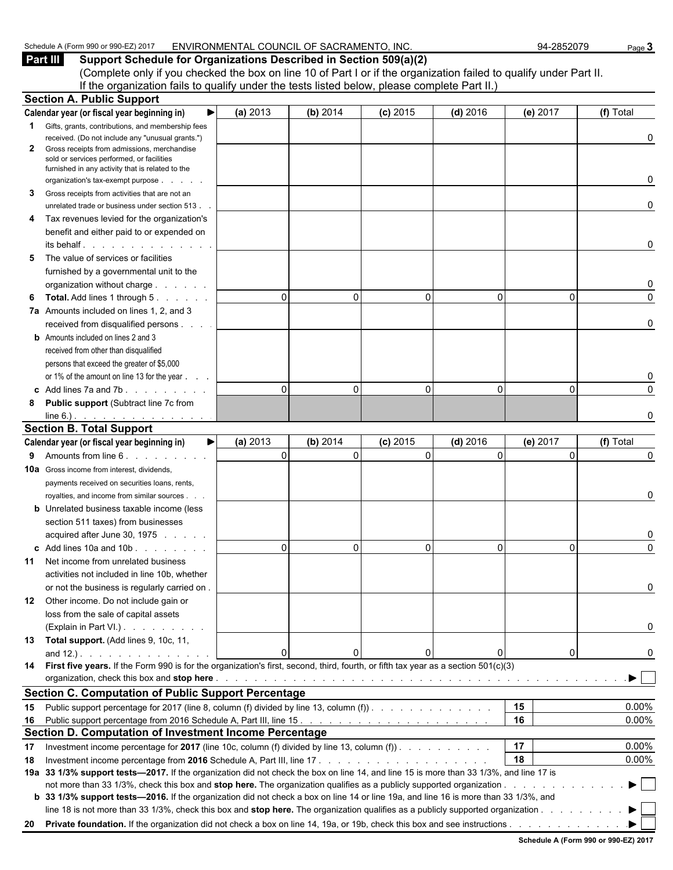| $1201^{-}$<br>Schedule<br>JUL OF GOOD<br>.m QQN<br>(Form<br>$\cdots$ | OF<br><b>SACRAMF</b><br><b>INC</b><br><b>ENVIRONMEN,</b><br>COUNCIL<br>$-$ NTC<br>TAI<br>. | -2852079<br>94 | Page |
|----------------------------------------------------------------------|--------------------------------------------------------------------------------------------|----------------|------|
|----------------------------------------------------------------------|--------------------------------------------------------------------------------------------|----------------|------|

**Part III Support Schedule for Organizations Described in Section 509(a)(2)** (Complete only if you checked the box on line 10 of Part I or if the organization failed to qualify under Part II. If the organization fails to qualify under the tests listed below, please complete Part II.)

|    | <b>Section A. Public Support</b>                                                                                                                                                                                               |          |          |            |              |          |           |
|----|--------------------------------------------------------------------------------------------------------------------------------------------------------------------------------------------------------------------------------|----------|----------|------------|--------------|----------|-----------|
|    | Calendar year (or fiscal year beginning in)                                                                                                                                                                                    | (a) 2013 | (b) 2014 | $(c)$ 2015 | $(d)$ 2016   | (e) 2017 | (f) Total |
|    | <b>1</b> Gifts, grants, contributions, and membership fees                                                                                                                                                                     |          |          |            |              |          |           |
|    | received. (Do not include any "unusual grants.")                                                                                                                                                                               |          |          |            |              |          | 0         |
| 2  | Gross receipts from admissions, merchandise<br>sold or services performed, or facilities                                                                                                                                       |          |          |            |              |          |           |
|    | furnished in any activity that is related to the                                                                                                                                                                               |          |          |            |              |          |           |
|    | organization's tax-exempt purpose                                                                                                                                                                                              |          |          |            |              |          | 0         |
| 3  | Gross receipts from activities that are not an                                                                                                                                                                                 |          |          |            |              |          |           |
|    | unrelated trade or business under section 513.                                                                                                                                                                                 |          |          |            |              |          | 0         |
| 4  | Tax revenues levied for the organization's                                                                                                                                                                                     |          |          |            |              |          |           |
|    | benefit and either paid to or expended on                                                                                                                                                                                      |          |          |            |              |          |           |
|    | its behalf                                                                                                                                                                                                                     |          |          |            |              |          | 0         |
| 5  | The value of services or facilities                                                                                                                                                                                            |          |          |            |              |          |           |
|    | furnished by a governmental unit to the                                                                                                                                                                                        |          |          |            |              |          |           |
|    | organization without charge                                                                                                                                                                                                    |          |          |            |              |          | 0         |
| 6  | <b>Total.</b> Add lines 1 through 5.                                                                                                                                                                                           | $\Omega$ | 0        | $\Omega$   | $\mathbf{0}$ | $\Omega$ | 0         |
|    | 7a Amounts included on lines 1, 2, and 3                                                                                                                                                                                       |          |          |            |              |          |           |
|    | received from disqualified persons                                                                                                                                                                                             |          |          |            |              |          | 0         |
|    | <b>b</b> Amounts included on lines 2 and 3                                                                                                                                                                                     |          |          |            |              |          |           |
|    | received from other than disqualified                                                                                                                                                                                          |          |          |            |              |          |           |
|    | persons that exceed the greater of \$5,000                                                                                                                                                                                     |          |          |            |              |          |           |
|    | or 1% of the amount on line 13 for the year                                                                                                                                                                                    |          |          |            |              |          | 0         |
|    | c Add lines $7a$ and $7b$ .                                                                                                                                                                                                    | $\Omega$ | 0        | $\Omega$   | $\Omega$     | $\Omega$ | $\Omega$  |
| 8  | <b>Public support (Subtract line 7c from</b>                                                                                                                                                                                   |          |          |            |              |          |           |
|    | line 6.) $\cdots$ $\cdots$ $\cdots$ $\cdots$                                                                                                                                                                                   |          |          |            |              |          | O         |
|    | <b>Section B. Total Support</b>                                                                                                                                                                                                |          |          |            |              |          |           |
|    | Calendar year (or fiscal year beginning in)<br>▶                                                                                                                                                                               | (a) 2013 | (b) 2014 | $(c)$ 2015 | $(d)$ 2016   | (e) 2017 | (f) Total |
| 9  | Amounts from line 6. Amounts from line 6.                                                                                                                                                                                      | $\Omega$ | $\Omega$ | $\Omega$   | $\Omega$     | $\Omega$ | 0         |
|    | <b>10a</b> Gross income from interest, dividends,                                                                                                                                                                              |          |          |            |              |          |           |
|    | payments received on securities loans, rents,                                                                                                                                                                                  |          |          |            |              |          |           |
|    | royalties, and income from similar sources.                                                                                                                                                                                    |          |          |            |              |          | 0         |
|    | <b>b</b> Unrelated business taxable income (less                                                                                                                                                                               |          |          |            |              |          |           |
|    | section 511 taxes) from businesses                                                                                                                                                                                             |          |          |            |              |          |           |
|    | acquired after June 30, 1975                                                                                                                                                                                                   |          |          |            |              |          | 0         |
|    | c Add lines 10a and 10b                                                                                                                                                                                                        | $\Omega$ | 0        | O          | $\Omega$     | 0        | $\Omega$  |
| 11 | Net income from unrelated business                                                                                                                                                                                             |          |          |            |              |          |           |
|    | activities not included in line 10b, whether                                                                                                                                                                                   |          |          |            |              |          |           |
|    | or not the business is regularly carried on.                                                                                                                                                                                   |          |          |            |              |          |           |
|    | 12 Other income. Do not include gain or                                                                                                                                                                                        |          |          |            |              |          |           |
|    | loss from the sale of capital assets                                                                                                                                                                                           |          |          |            |              |          |           |
|    | (Explain in Part VI.).                                                                                                                                                                                                         |          |          |            |              |          | 0         |
|    | 13 Total support. (Add lines 9, 10c, 11,                                                                                                                                                                                       |          |          |            |              |          |           |
|    |                                                                                                                                                                                                                                | $\Omega$ |          |            | 0            | 0        | 0         |
|    | 14 First five years. If the Form 990 is for the organization's first, second, third, fourth, or fifth tax year as a section 501(c)(3)                                                                                          |          |          |            |              |          |           |
|    | organization, check this box and stop here enterpresentation of the content of the content of the content of the content of the content of the content of the content of the content of the content of the content of the cont |          |          |            |              |          |           |
|    | <b>Section C. Computation of Public Support Percentage</b>                                                                                                                                                                     |          |          |            |              |          |           |
|    | 15 Public support percentage for 2017 (line 8, column (f) divided by line 13, column (f)).                                                                                                                                     |          |          |            |              | 15       | 0.00%     |
|    |                                                                                                                                                                                                                                |          |          |            |              | 16       | 0.00%     |
|    | Section D. Computation of Investment Income Percentage                                                                                                                                                                         |          |          |            |              |          |           |
| 17 | Investment income percentage for 2017 (line 10c, column (f) divided by line 13, column (f)).                                                                                                                                   |          |          |            |              | 17       | 0.00%     |
| 18 |                                                                                                                                                                                                                                |          |          |            |              | 18       | 0.00%     |
|    | 19a 33 1/3% support tests-2017. If the organization did not check the box on line 14, and line 15 is more than 33 1/3%, and line 17 is                                                                                         |          |          |            |              |          |           |
|    |                                                                                                                                                                                                                                |          |          |            |              |          | ▶         |
|    | b 33 1/3% support tests—2016. If the organization did not check a box on line 14 or line 19a, and line 16 is more than 33 1/3%, and                                                                                            |          |          |            |              |          |           |
|    | line 18 is not more than 33 1/3%, check this box and stop here. The organization qualifies as a publicly supported organization                                                                                                |          |          |            |              |          |           |
|    |                                                                                                                                                                                                                                |          |          |            |              |          |           |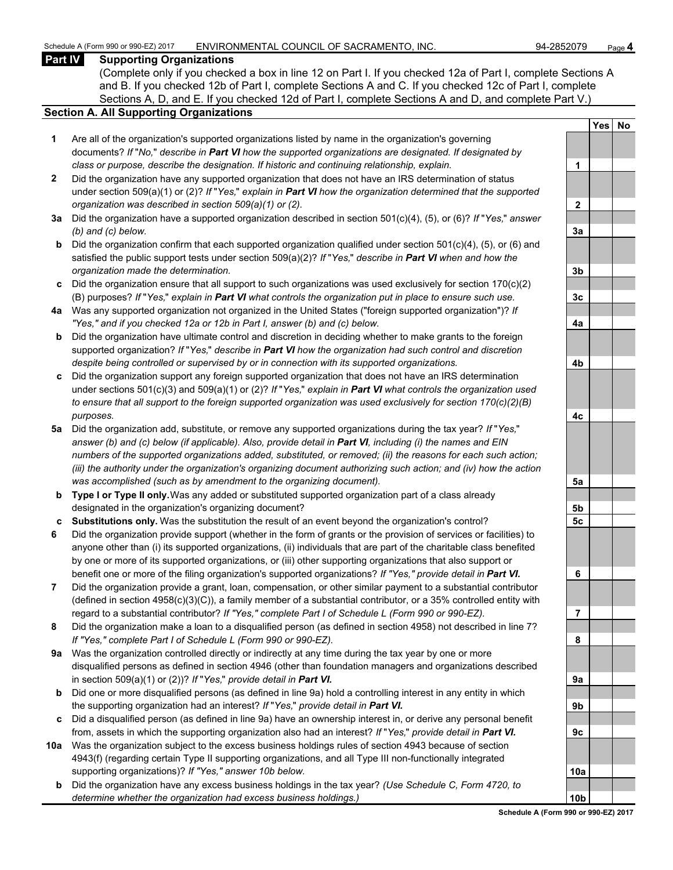## **Part IV Supporting Organizations**

(Complete only if you checked a box in line 12 on Part I. If you checked 12a of Part I, complete Sections A and B. If you checked 12b of Part I, complete Sections A and C. If you checked 12c of Part I, complete Sections A, D, and E. If you checked 12d of Part I, complete Sections A and D, and complete Part V.)

# **Section A. All Supporting Organizations**

- **1** Are all of the organization's supported organizations listed by name in the organization's governing documents? *If* "*No,*" *describe in Part VI how the supported organizations are designated. If designated by class or purpose, describe the designation. If historic and continuing relationship, explain.* **1**
- **2** Did the organization have any supported organization that does not have an IRS determination of status under section 509(a)(1) or (2)? *If* "*Yes,*" *explain in Part VI how the organization determined that the supported organization was described in section 509(a)(1) or (2).*
- **3a** Did the organization have a supported organization described in section 501(c)(4), (5), or (6)? *If* "*Yes,*" *answer (b) and (c) below.* **3a**
- **b** Did the organization confirm that each supported organization qualified under section 501(c)(4), (5), or (6) and satisfied the public support tests under section 509(a)(2)? *If* "*Yes,*" *describe in Part VI when and how the organization made the determination.* **3b**
- **c** Did the organization ensure that all support to such organizations was used exclusively for section 170(c)(2) (B) purposes? *If* "*Yes,*" *explain in Part VI what controls the organization put in place to ensure such use.* **3c**
- **4a** Was any supported organization not organized in the United States ("foreign supported organization")? *If "Yes," and if you checked 12a or 12b in Part I, answer (b) and (c) below.* **4a**
- **b** Did the organization have ultimate control and discretion in deciding whether to make grants to the foreign supported organization? *If* "*Yes,*" *describe in Part VI how the organization had such control and discretion despite being controlled or supervised by or in connection with its supported organizations.* **4b**
- **c** Did the organization support any foreign supported organization that does not have an IRS determination under sections 501(c)(3) and 509(a)(1) or (2)? *If* "*Yes,*" *explain in Part VI what controls the organization used to ensure that all support to the foreign supported organization was used exclusively for section 170(c)(2)(B) purposes.* **4c**
- **5a** Did the organization add, substitute, or remove any supported organizations during the tax year? *If* "*Yes,*" *answer (b) and (c) below (if applicable). Also, provide detail in Part VI, including (i) the names and EIN numbers of the supported organizations added, substituted, or removed; (ii) the reasons for each such action; (iii) the authority under the organization's organizing document authorizing such action; and (iv) how the action was accomplished (such as by amendment to the organizing document).* **5a**
- **b Type I or Type II only.** Was any added or substituted supported organization part of a class already designated in the organization's organizing document? **5b**
- **c Substitutions only.** Was the substitution the result of an event beyond the organization's control? **5c**
- **6** Did the organization provide support (whether in the form of grants or the provision of services or facilities) to anyone other than (i) its supported organizations, (ii) individuals that are part of the charitable class benefited by one or more of its supported organizations, or (iii) other supporting organizations that also support or benefit one or more of the filing organization's supported organizations? *If "Yes," provide detail in Part VI.* **6**
- **7** Did the organization provide a grant, loan, compensation, or other similar payment to a substantial contributor (defined in section 4958(c)(3)(C)), a family member of a substantial contributor, or a 35% controlled entity with regard to a substantial contributor? *If "Yes," complete Part I of Schedule L (Form 990 or 990-EZ).* **7**
- **8** Did the organization make a loan to a disqualified person (as defined in section 4958) not described in line 7? *If "Yes," complete Part I of Schedule L (Form 990 or 990-EZ).* **8**
- **9a** Was the organization controlled directly or indirectly at any time during the tax year by one or more disqualified persons as defined in section 4946 (other than foundation managers and organizations described in section 509(a)(1) or (2))? *If* "*Yes*," *provide detail in Part VI.*
- **b** Did one or more disqualified persons (as defined in line 9a) hold a controlling interest in any entity in which the supporting organization had an interest? *If* "*Yes,*" *provide detail in Part VI.* **9b**
- **c** Did a disqualified person (as defined in line 9a) have an ownership interest in, or derive any personal benefit from, assets in which the supporting organization also had an interest? *If* "*Yes,*" *provide detail in Part VI.* **9c**
- **10a** Was the organization subject to the excess business holdings rules of section 4943 because of section 4943(f) (regarding certain Type II supporting organizations, and all Type III non-functionally integrated supporting organizations)? If "Yes," answer 10b below.
	- **b** Did the organization have any excess business holdings in the tax year? *(Use Schedule C, Form 4720, to determine whether the organization had excess business holdings.)* **10b**

|                      | Yes | <u>No</u> |
|----------------------|-----|-----------|
|                      |     |           |
| 1                    |     |           |
|                      |     |           |
|                      |     |           |
| $\frac{2}{\sqrt{2}}$ |     |           |
| <u>3a</u>            |     |           |
|                      |     |           |
| <u>3b</u>            |     |           |
|                      |     |           |
| $\frac{3c}{2}$       |     |           |
| <u>4a</u>            |     |           |
|                      |     |           |
|                      |     |           |
| 4 <sub>b</sub>       |     |           |
|                      |     |           |
| <u>4c</u>            |     |           |
|                      |     |           |
| $\frac{5a}{2}$       |     |           |
|                      |     |           |
| <u>5b</u>            |     |           |
| 5c                   |     |           |
|                      |     |           |
| 6                    |     |           |
|                      |     |           |
| 1<br>l               |     |           |
|                      |     |           |
| 8                    |     |           |
|                      |     |           |
| 9 <u>a</u>           |     |           |
|                      |     |           |
| 9b                   |     |           |
| 9c                   |     |           |
|                      |     |           |
|                      |     |           |
| 10a                  |     |           |
|                      |     |           |
| 10 <sub>b</sub>      |     |           |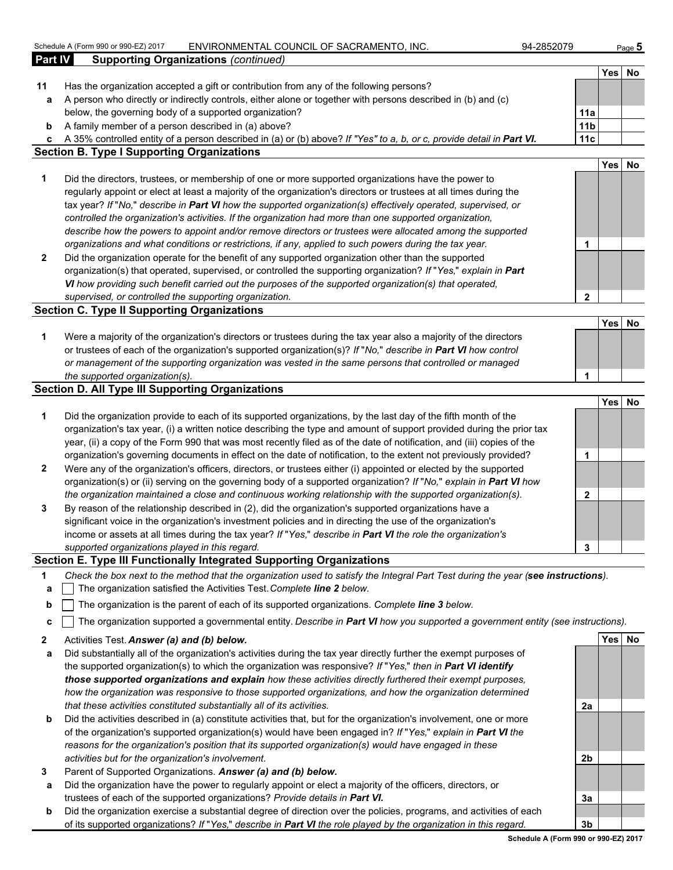|              | Schedule A (Form 990 or 990-EZ) 2017<br>ENVIRONMENTAL COUNCIL OF SACRAMENTO, INC.                                                 | 94-2852079      |      | Page $5$ |
|--------------|-----------------------------------------------------------------------------------------------------------------------------------|-----------------|------|----------|
| Part IV      | <b>Supporting Organizations (continued)</b>                                                                                       |                 |      |          |
|              |                                                                                                                                   |                 | Yes  | No       |
| 11           | Has the organization accepted a gift or contribution from any of the following persons?                                           |                 |      |          |
| a            | A person who directly or indirectly controls, either alone or together with persons described in (b) and (c)                      |                 |      |          |
|              | below, the governing body of a supported organization?                                                                            | 11a             |      |          |
| b            | A family member of a person described in (a) above?                                                                               | 11 <sub>b</sub> |      |          |
| c            | A 35% controlled entity of a person described in (a) or (b) above? If "Yes" to a, b, or c, provide detail in Part VI.             | 11c             |      |          |
|              | <b>Section B. Type I Supporting Organizations</b>                                                                                 |                 |      |          |
|              |                                                                                                                                   |                 | Yes  | No       |
| 1            | Did the directors, trustees, or membership of one or more supported organizations have the power to                               |                 |      |          |
|              | regularly appoint or elect at least a majority of the organization's directors or trustees at all times during the                |                 |      |          |
|              | tax year? If "No," describe in Part VI how the supported organization(s) effectively operated, supervised, or                     |                 |      |          |
|              | controlled the organization's activities. If the organization had more than one supported organization,                           |                 |      |          |
|              | describe how the powers to appoint and/or remove directors or trustees were allocated among the supported                         |                 |      |          |
|              | organizations and what conditions or restrictions, if any, applied to such powers during the tax year.                            | 1               |      |          |
| $\mathbf{2}$ | Did the organization operate for the benefit of any supported organization other than the supported                               |                 |      |          |
|              | organization(s) that operated, supervised, or controlled the supporting organization? If "Yes," explain in Part                   |                 |      |          |
|              | VI how providing such benefit carried out the purposes of the supported organization(s) that operated,                            |                 |      |          |
|              | supervised, or controlled the supporting organization.                                                                            | $\mathbf{2}$    |      |          |
|              | <b>Section C. Type II Supporting Organizations</b>                                                                                |                 |      |          |
|              |                                                                                                                                   |                 | Yes  | No       |
| 1            | Were a majority of the organization's directors or trustees during the tax year also a majority of the directors                  |                 |      |          |
|              | or trustees of each of the organization's supported organization(s)? If "No," describe in Part VI how control                     |                 |      |          |
|              | or management of the supporting organization was vested in the same persons that controlled or managed                            |                 |      |          |
|              | the supported organization(s).                                                                                                    | 1               |      |          |
|              | <b>Section D. All Type III Supporting Organizations</b>                                                                           |                 |      |          |
|              |                                                                                                                                   |                 | Yes  | No       |
| 1            | Did the organization provide to each of its supported organizations, by the last day of the fifth month of the                    |                 |      |          |
|              | organization's tax year, (i) a written notice describing the type and amount of support provided during the prior tax             |                 |      |          |
|              | year, (ii) a copy of the Form 990 that was most recently filed as of the date of notification, and (iii) copies of the            |                 |      |          |
|              | organization's governing documents in effect on the date of notification, to the extent not previously provided?                  | 1               |      |          |
| $\mathbf{2}$ | Were any of the organization's officers, directors, or trustees either (i) appointed or elected by the supported                  |                 |      |          |
|              | organization(s) or (ii) serving on the governing body of a supported organization? If "No," explain in Part VI how                |                 |      |          |
|              | the organization maintained a close and continuous working relationship with the supported organization(s).                       | 2               |      |          |
| 3            | By reason of the relationship described in (2), did the organization's supported organizations have a                             |                 |      |          |
|              | significant voice in the organization's investment policies and in directing the use of the organization's                        |                 |      |          |
|              | income or assets at all times during the tax year? If "Yes," describe in Part VI the role the organization's                      |                 |      |          |
|              | supported organizations played in this regard.                                                                                    | 3               |      |          |
|              | Section E. Type III Functionally Integrated Supporting Organizations                                                              |                 |      |          |
| 1            | Check the box next to the method that the organization used to satisfy the Integral Part Test during the year (see instructions). |                 |      |          |
| а            | The organization satisfied the Activities Test. Complete line 2 below.                                                            |                 |      |          |
| b            | The organization is the parent of each of its supported organizations. Complete line 3 below.                                     |                 |      |          |
|              |                                                                                                                                   |                 |      |          |
| c            | The organization supported a governmental entity. Describe in Part VI how you supported a government entity (see instructions).   |                 |      |          |
| 2            | Activities Test. Answer (a) and (b) below.                                                                                        |                 | Yesl | No       |
|              | Did substantially all of the organization's activities during the tax year directly further the exempt purposes of                |                 |      |          |

- tantially all of the organization's activities during the tax year directly further the exempt purposes of the supported organization(s) to which the organization was responsive? *If* "*Yes,*" *then in Part VI identify those supported organizations and explain how these activities directly furthered their exempt purposes, how the organization was responsive to those supported organizations, and how the organization determined that these activities constituted substantially all of its activities.* **2a**
- **b** Did the activities described in (a) constitute activities that, but for the organization's involvement, one or more of the organization's supported organization(s) would have been engaged in? *If* "*Yes,*" *explain in Part VI the reasons for the organization's position that its supported organization(s) would have engaged in these activities but for the organization's involvement.* **2b**
- **3** Parent of Supported Organizations. *Answer (a) and (b) below.*
- **a** Did the organization have the power to regularly appoint or elect a majority of the officers, directors, or trustees of each of the supported organizations? *Provide details in Part VI.* **3a**
- **b** Did the organization exercise a substantial degree of direction over the policies, programs, and activities of each of its supported organizations? *If* "*Yes,*" *describe in Part VI the role played by the organization in this regard.* **3b**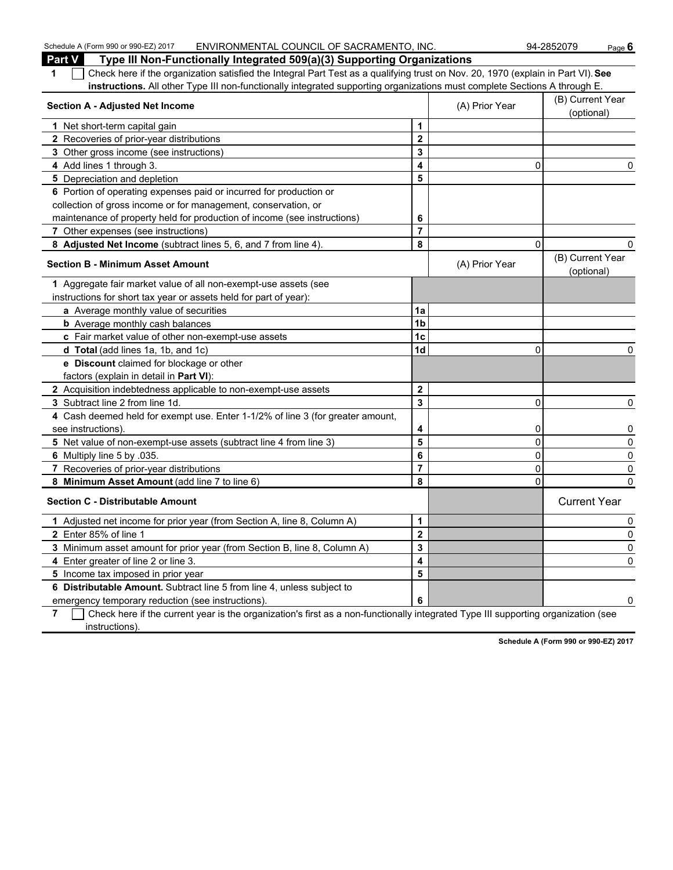| Schedule A (Form 990 or 990-EZ) 2017<br>ENVIRONMENTAL COUNCIL OF SACRAMENTO, INC.                                                      |                         |                | 94-2852079<br>Page $6$         |
|----------------------------------------------------------------------------------------------------------------------------------------|-------------------------|----------------|--------------------------------|
| Part V<br>Type III Non-Functionally Integrated 509(a)(3) Supporting Organizations                                                      |                         |                |                                |
| Check here if the organization satisfied the Integral Part Test as a qualifying trust on Nov. 20, 1970 (explain in Part VI). See<br>1  |                         |                |                                |
| instructions. All other Type III non-functionally integrated supporting organizations must complete Sections A through E.              |                         |                |                                |
| <b>Section A - Adjusted Net Income</b>                                                                                                 |                         | (A) Prior Year | (B) Current Year<br>(optional) |
| 1 Net short-term capital gain                                                                                                          | 1                       |                |                                |
| 2 Recoveries of prior-year distributions                                                                                               | $\mathbf 2$             |                |                                |
| 3 Other gross income (see instructions)                                                                                                | 3                       |                |                                |
| 4 Add lines 1 through 3.                                                                                                               | 4                       | 0              | 0                              |
| 5 Depreciation and depletion                                                                                                           | 5                       |                |                                |
| 6 Portion of operating expenses paid or incurred for production or                                                                     |                         |                |                                |
| collection of gross income or for management, conservation, or                                                                         |                         |                |                                |
| maintenance of property held for production of income (see instructions)                                                               | 6                       |                |                                |
| 7 Other expenses (see instructions)                                                                                                    | $\overline{7}$          |                |                                |
| 8 Adjusted Net Income (subtract lines 5, 6, and 7 from line 4).                                                                        | 8                       | 0              |                                |
| <b>Section B - Minimum Asset Amount</b>                                                                                                |                         | (A) Prior Year | (B) Current Year<br>(optional) |
| 1 Aggregate fair market value of all non-exempt-use assets (see                                                                        |                         |                |                                |
| instructions for short tax year or assets held for part of year):                                                                      |                         |                |                                |
| a Average monthly value of securities                                                                                                  | 1a                      |                |                                |
| <b>b</b> Average monthly cash balances                                                                                                 | 1 <sub>b</sub>          |                |                                |
| c Fair market value of other non-exempt-use assets                                                                                     | 1c                      |                |                                |
| d Total (add lines 1a, 1b, and 1c)                                                                                                     | 1 <sub>d</sub>          | 0              | 0                              |
| e Discount claimed for blockage or other                                                                                               |                         |                |                                |
| factors (explain in detail in Part VI):                                                                                                |                         |                |                                |
| 2 Acquisition indebtedness applicable to non-exempt-use assets                                                                         | $\overline{\mathbf{2}}$ |                |                                |
| 3 Subtract line 2 from line 1d.                                                                                                        | $\overline{\mathbf{3}}$ | 0              | 0                              |
| 4 Cash deemed held for exempt use. Enter 1-1/2% of line 3 (for greater amount,                                                         |                         |                |                                |
| see instructions).                                                                                                                     |                         | 0              | 0                              |
| 5 Net value of non-exempt-use assets (subtract line 4 from line 3)                                                                     | 5                       | 0              | 0                              |
| 6 Multiply line 5 by .035.                                                                                                             | 6                       | 0              | 0                              |
| 7 Recoveries of prior-year distributions                                                                                               | $\overline{7}$          | 0              | 0                              |
| 8 Minimum Asset Amount (add line 7 to line 6)                                                                                          | 8                       | 0              | 0                              |
| <b>Section C - Distributable Amount</b>                                                                                                |                         |                | <b>Current Year</b>            |
| 1 Adjusted net income for prior year (from Section A, line 8, Column A)                                                                | 1                       |                | 0                              |
| 2 Enter 85% of line 1                                                                                                                  | $\overline{\mathbf{c}}$ |                | $\pmb{0}$                      |
| 3 Minimum asset amount for prior year (from Section B, line 8, Column A)                                                               | 3                       |                | 0                              |
| 4 Enter greater of line 2 or line 3.                                                                                                   | 4                       |                | 0                              |
| 5 Income tax imposed in prior year                                                                                                     | 5                       |                |                                |
| 6 Distributable Amount. Subtract line 5 from line 4, unless subject to                                                                 |                         |                |                                |
| emergency temporary reduction (see instructions).                                                                                      | 6                       |                | $\overline{0}$                 |
| Check here if the current year is the organization's first as a non-functionally integrated Type III supporting organization (see<br>7 |                         |                |                                |

instructions).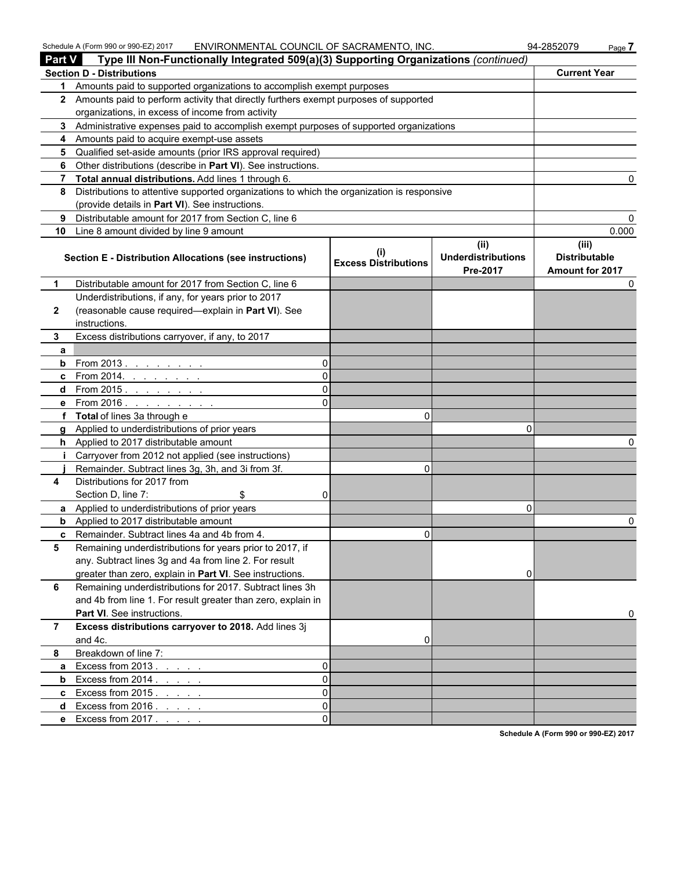| Schedule A (Form 990 or 990-EZ) 2017 | . COUNCIL OF SACRAMENTO<br>ENVIRONMENTAL | $\overline{\phantom{a}}$ INC<br>94-2852079 | □aαe |
|--------------------------------------|------------------------------------------|--------------------------------------------|------|
|--------------------------------------|------------------------------------------|--------------------------------------------|------|

| Part V         | Type III Non-Functionally Integrated 509(a)(3) Supporting Organizations (continued)        |                                    |                                               |                                                  |
|----------------|--------------------------------------------------------------------------------------------|------------------------------------|-----------------------------------------------|--------------------------------------------------|
|                | <b>Section D - Distributions</b>                                                           |                                    |                                               | <b>Current Year</b>                              |
| 1              | Amounts paid to supported organizations to accomplish exempt purposes                      |                                    |                                               |                                                  |
|                | 2 Amounts paid to perform activity that directly furthers exempt purposes of supported     |                                    |                                               |                                                  |
|                | organizations, in excess of income from activity                                           |                                    |                                               |                                                  |
|                | 3 Administrative expenses paid to accomplish exempt purposes of supported organizations    |                                    |                                               |                                                  |
|                | 4 Amounts paid to acquire exempt-use assets                                                |                                    |                                               |                                                  |
| 5.             | Qualified set-aside amounts (prior IRS approval required)                                  |                                    |                                               |                                                  |
| 6              | Other distributions (describe in Part VI). See instructions.                               |                                    |                                               |                                                  |
| $\overline{7}$ | Total annual distributions. Add lines 1 through 6.                                         |                                    |                                               |                                                  |
| 8              | Distributions to attentive supported organizations to which the organization is responsive |                                    |                                               |                                                  |
|                | (provide details in Part VI). See instructions.                                            |                                    |                                               |                                                  |
| 9              | Distributable amount for 2017 from Section C, line 6                                       |                                    |                                               |                                                  |
| 10             | Line 8 amount divided by line 9 amount                                                     |                                    |                                               | 0.000                                            |
|                | Section E - Distribution Allocations (see instructions)                                    | (i)<br><b>Excess Distributions</b> | (ii)<br><b>Underdistributions</b><br>Pre-2017 | (iii)<br><b>Distributable</b><br>Amount for 2017 |
| 1              | Distributable amount for 2017 from Section C, line 6                                       |                                    |                                               |                                                  |
|                | Underdistributions, if any, for years prior to 2017                                        |                                    |                                               |                                                  |
| $\mathbf{2}$   | (reasonable cause required-explain in Part VI). See                                        |                                    |                                               |                                                  |
|                | instructions.                                                                              |                                    |                                               |                                                  |
| 3              | Excess distributions carryover, if any, to 2017                                            |                                    |                                               |                                                  |
| a              |                                                                                            |                                    |                                               |                                                  |
| b              | From 2013                                                                                  |                                    |                                               |                                                  |
| c.             | From 2014. . $\frac{1}{2}$                                                                 |                                    |                                               |                                                  |
| d              | From 2015 <u>.</u>                                                                         |                                    |                                               |                                                  |
|                | e From 2016.<br>and a series of the con-                                                   |                                    |                                               |                                                  |
| f              | <b>Total</b> of lines 3a through e                                                         | $\Omega$                           |                                               |                                                  |
| a              | Applied to underdistributions of prior years                                               |                                    | O                                             |                                                  |
|                | <b>h</b> Applied to 2017 distributable amount                                              |                                    |                                               |                                                  |
|                | Carryover from 2012 not applied (see instructions)                                         |                                    |                                               |                                                  |
|                | Remainder. Subtract lines 3g, 3h, and 3i from 3f.                                          | $\Omega$                           |                                               |                                                  |
| 4              | Distributions for 2017 from                                                                |                                    |                                               |                                                  |
|                | Section D, line 7:<br>\$                                                                   |                                    |                                               |                                                  |
|                | a Applied to underdistributions of prior years                                             |                                    | O                                             |                                                  |
| b              | Applied to 2017 distributable amount                                                       |                                    |                                               |                                                  |
|                | c Remainder. Subtract lines 4a and 4b from 4.                                              | 0                                  |                                               |                                                  |
| 5              | Remaining underdistributions for years prior to 2017, if                                   |                                    |                                               |                                                  |
|                | any. Subtract lines 3g and 4a from line 2. For result                                      |                                    |                                               |                                                  |
|                | greater than zero, explain in Part VI. See instructions.                                   |                                    | 0                                             |                                                  |
| 6              | Remaining underdistributions for 2017. Subtract lines 3h                                   |                                    |                                               |                                                  |
|                | and 4b from line 1. For result greater than zero, explain in                               |                                    |                                               |                                                  |
|                | <b>Part VI.</b> See instructions.                                                          |                                    |                                               | 0                                                |
| $\overline{7}$ | Excess distributions carryover to 2018. Add lines 3j                                       |                                    |                                               |                                                  |
|                | and 4c.                                                                                    | 0                                  |                                               |                                                  |
| 8              | Breakdown of line 7:                                                                       |                                    |                                               |                                                  |
| a              | Excess from $2013$ .<br>0                                                                  |                                    |                                               |                                                  |
| b              | Excess from $2014.$ $\ldots$ $\ldots$<br>0                                                 |                                    |                                               |                                                  |
| C.             | Excess from $2015$ .<br>0                                                                  |                                    |                                               |                                                  |
| d              | Excess from $2016.$ $\ldots$ $\ldots$<br>$\Omega$                                          |                                    |                                               |                                                  |
|                | e Excess from 2017.<br>$\Omega$                                                            |                                    |                                               |                                                  |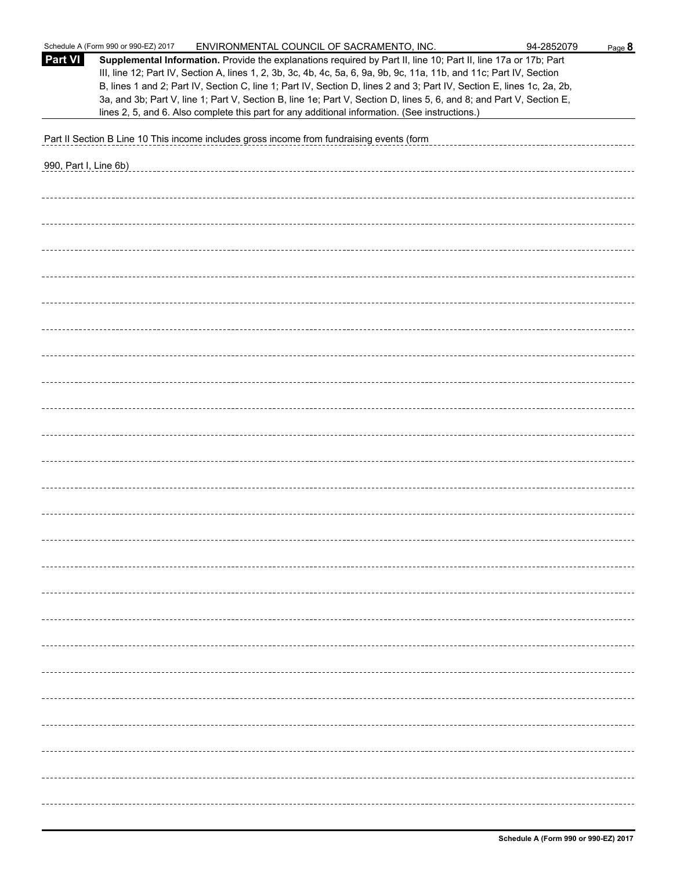|                       | Schedule A (Form 990 or 990-EZ) 2017<br>ENVIRONMENTAL COUNCIL OF SACRAMENTO, INC.                                                                                                                                                                                                                                                                                                                                                                                                                                                                                                           | 94-2852079<br>Page 8 |
|-----------------------|---------------------------------------------------------------------------------------------------------------------------------------------------------------------------------------------------------------------------------------------------------------------------------------------------------------------------------------------------------------------------------------------------------------------------------------------------------------------------------------------------------------------------------------------------------------------------------------------|----------------------|
| <b>Part VI</b>        | Supplemental Information. Provide the explanations required by Part II, line 10; Part II, line 17a or 17b; Part<br>III, line 12; Part IV, Section A, lines 1, 2, 3b, 3c, 4b, 4c, 5a, 6, 9a, 9b, 9c, 11a, 11b, and 11c; Part IV, Section<br>B, lines 1 and 2; Part IV, Section C, line 1; Part IV, Section D, lines 2 and 3; Part IV, Section E, lines 1c, 2a, 2b,<br>3a, and 3b; Part V, line 1; Part V, Section B, line 1e; Part V, Section D, lines 5, 6, and 8; and Part V, Section E,<br>lines 2, 5, and 6. Also complete this part for any additional information. (See instructions.) |                      |
|                       |                                                                                                                                                                                                                                                                                                                                                                                                                                                                                                                                                                                             |                      |
|                       | Part II Section B Line 10 This income includes gross income from fundraising events (form                                                                                                                                                                                                                                                                                                                                                                                                                                                                                                   |                      |
| 990, Part I, Line 6b) |                                                                                                                                                                                                                                                                                                                                                                                                                                                                                                                                                                                             |                      |
|                       |                                                                                                                                                                                                                                                                                                                                                                                                                                                                                                                                                                                             |                      |
|                       |                                                                                                                                                                                                                                                                                                                                                                                                                                                                                                                                                                                             |                      |
|                       |                                                                                                                                                                                                                                                                                                                                                                                                                                                                                                                                                                                             |                      |
|                       |                                                                                                                                                                                                                                                                                                                                                                                                                                                                                                                                                                                             |                      |
|                       |                                                                                                                                                                                                                                                                                                                                                                                                                                                                                                                                                                                             |                      |
|                       |                                                                                                                                                                                                                                                                                                                                                                                                                                                                                                                                                                                             |                      |
|                       |                                                                                                                                                                                                                                                                                                                                                                                                                                                                                                                                                                                             |                      |
|                       |                                                                                                                                                                                                                                                                                                                                                                                                                                                                                                                                                                                             |                      |
|                       |                                                                                                                                                                                                                                                                                                                                                                                                                                                                                                                                                                                             |                      |
|                       |                                                                                                                                                                                                                                                                                                                                                                                                                                                                                                                                                                                             |                      |
|                       |                                                                                                                                                                                                                                                                                                                                                                                                                                                                                                                                                                                             |                      |
|                       |                                                                                                                                                                                                                                                                                                                                                                                                                                                                                                                                                                                             |                      |
|                       |                                                                                                                                                                                                                                                                                                                                                                                                                                                                                                                                                                                             |                      |
|                       |                                                                                                                                                                                                                                                                                                                                                                                                                                                                                                                                                                                             |                      |
|                       |                                                                                                                                                                                                                                                                                                                                                                                                                                                                                                                                                                                             |                      |
|                       |                                                                                                                                                                                                                                                                                                                                                                                                                                                                                                                                                                                             |                      |
|                       |                                                                                                                                                                                                                                                                                                                                                                                                                                                                                                                                                                                             |                      |
|                       |                                                                                                                                                                                                                                                                                                                                                                                                                                                                                                                                                                                             |                      |
|                       |                                                                                                                                                                                                                                                                                                                                                                                                                                                                                                                                                                                             |                      |
|                       |                                                                                                                                                                                                                                                                                                                                                                                                                                                                                                                                                                                             |                      |
|                       |                                                                                                                                                                                                                                                                                                                                                                                                                                                                                                                                                                                             |                      |
|                       |                                                                                                                                                                                                                                                                                                                                                                                                                                                                                                                                                                                             |                      |
|                       |                                                                                                                                                                                                                                                                                                                                                                                                                                                                                                                                                                                             |                      |
|                       |                                                                                                                                                                                                                                                                                                                                                                                                                                                                                                                                                                                             |                      |
|                       |                                                                                                                                                                                                                                                                                                                                                                                                                                                                                                                                                                                             |                      |
|                       |                                                                                                                                                                                                                                                                                                                                                                                                                                                                                                                                                                                             |                      |
|                       |                                                                                                                                                                                                                                                                                                                                                                                                                                                                                                                                                                                             |                      |
|                       |                                                                                                                                                                                                                                                                                                                                                                                                                                                                                                                                                                                             |                      |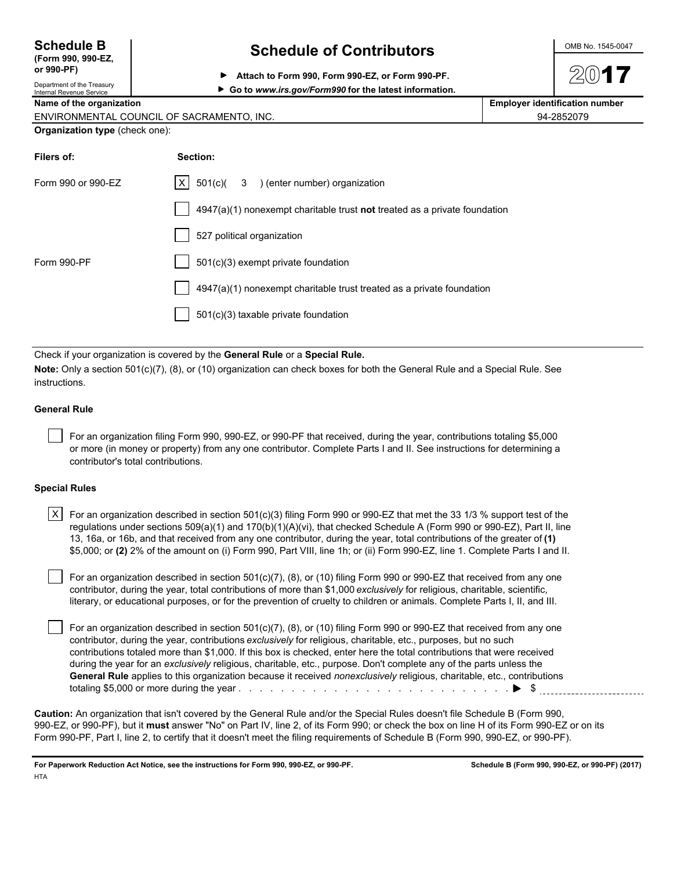| <b>Schedule B</b>                        |  |  |
|------------------------------------------|--|--|
| $T_{\text{c}}$ $\sim$ 000 000 $\text{F}$ |  |  |

#### **(Form 990, 990-EZ, or 990-PF)** Department of the Treasury

# **Schedule of Contributors**  $\frac{\text{OMB No. 1545-0047}}{}$

**Attach to Form 990, Form 990-EZ, or Form 990-PF.**

| Department of the Treasury<br>Internal Revenue Service | ► Go to www.irs.gov/Form990 for the latest information. |
|--------------------------------------------------------|---------------------------------------------------------|
|--------------------------------------------------------|---------------------------------------------------------|

**Name of the organization Employer identification number**  $\vert$  Employer identification number

| ENVIRONMENTAL COUNCIL OF SACRAMENTO. INC. | 94-2852079 |
|-------------------------------------------|------------|
| Organization type (check one):            |            |

| Section:                                                                  |
|---------------------------------------------------------------------------|
| $ X $ 501(c)( 3 ) (enter number) organization                             |
| 4947(a)(1) nonexempt charitable trust not treated as a private foundation |
| 527 political organization                                                |
| 501(c)(3) exempt private foundation                                       |
| 4947(a)(1) nonexempt charitable trust treated as a private foundation     |
| 501(c)(3) taxable private foundation                                      |
|                                                                           |

Check if your organization is covered by the **General Rule** or a **Special Rule.**

**Note:** Only a section 501(c)(7), (8), or (10) organization can check boxes for both the General Rule and a Special Rule. See instructions.

# **General Rule**

 For an organization filing Form 990, 990-EZ, or 990-PF that received, during the year, contributions totaling \$5,000 or more (in money or property) from any one contributor. Complete Parts I and II. See instructions for determining a contributor's total contributions.

### **Special Rules**

| <code>X <math>\mid</math> For</code> an organization described in section 501(c)(3) filing Form 990 or 990-EZ that met the 33 1/3 % support test of the |
|---------------------------------------------------------------------------------------------------------------------------------------------------------|
| regulations under sections 509(a)(1) and 170(b)(1)(A)(vi), that checked Schedule A (Form 990 or 990-EZ), Part II, line                                  |
| 13, 16a, or 16b, and that received from any one contributor, during the year, total contributions of the greater of (1)                                 |
| \$5,000; or (2) 2% of the amount on (i) Form 990, Part VIII, line 1h; or (ii) Form 990-EZ, line 1. Complete Parts I and II.                             |

 For an organization described in section 501(c)(7), (8), or (10) filing Form 990 or 990-EZ that received from any one contributor, during the year, total contributions of more than \$1,000 *exclusively* for religious, charitable, scientific, literary, or educational purposes, or for the prevention of cruelty to children or animals. Complete Parts I, II, and III.

 For an organization described in section 501(c)(7), (8), or (10) filing Form 990 or 990-EZ that received from any one contributor, during the year, contributions *exclusively* for religious, charitable, etc., purposes, but no such contributions totaled more than \$1,000. If this box is checked, enter here the total contributions that were received during the year for an *exclusively* religious, charitable, etc., purpose. Don't complete any of the parts unless the **General Rule** applies to this organization because it received *nonexclusively* religious, charitable, etc., contributions totaling \$5,000 or more during the year . . . . . . . . . . . . . . . . . . . . . . . . . . . . . . . . . . . . . . . . . . . . . . . . . . . \$

**Caution:** An organization that isn't covered by the General Rule and/or the Special Rules doesn't file Schedule B (Form 990, 990-EZ, or 990-PF), but it **must** answer "No" on Part IV, line 2, of its Form 990; or check the box on line H of its Form 990-EZ or on its Form 990-PF, Part I, line 2, to certify that it doesn't meet the filing requirements of Schedule B (Form 990, 990-EZ, or 990-PF).

**For Paperwork Reduction Act Notice, see the instructions for Form 990, 990-EZ, or 990-PF. Schedule B (Form 990, 990-EZ, or 990-PF) (2017) HTA**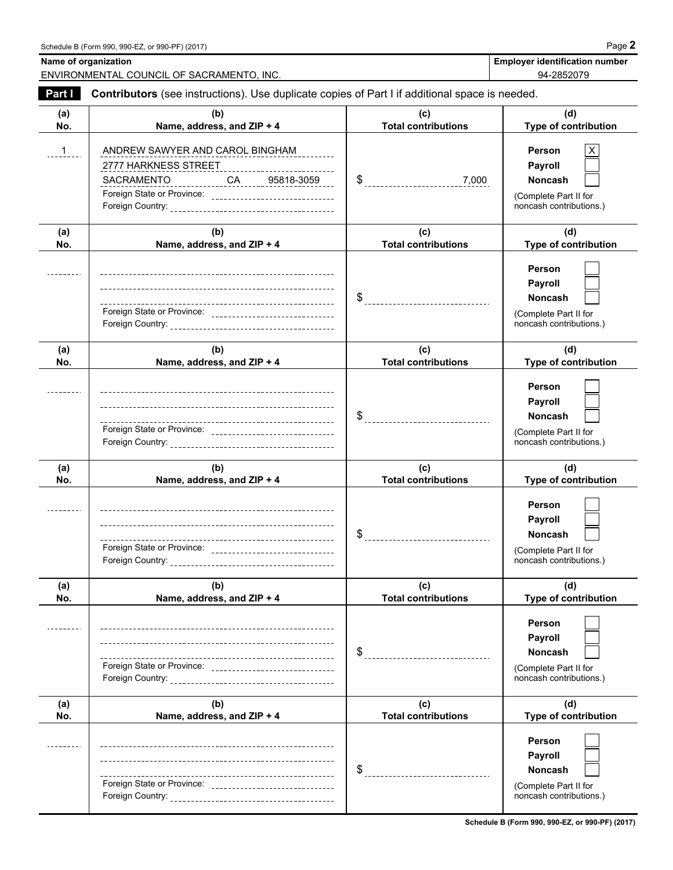**Name of organization** 

| <b>Employer identification number</b> |  |
|---------------------------------------|--|
| . <i>.</i>                            |  |

ENVIRONMENTAL COUNCIL OF SACRAMENTO, INC. 94-2852079

| Part I     | Contributors (see instructions). Use duplicate copies of Part I if additional space is needed.                                                                             |                                          |                                                                                         |  |  |  |  |
|------------|----------------------------------------------------------------------------------------------------------------------------------------------------------------------------|------------------------------------------|-----------------------------------------------------------------------------------------|--|--|--|--|
| (a)<br>No. | (b)<br>Name, address, and ZIP + 4                                                                                                                                          | (c)<br><b>Total contributions</b>        | (d)<br>Type of contribution                                                             |  |  |  |  |
| $1_{---}$  | ANDREW SAWYER AND CAROL BINGHAM<br>2777 HARKNESS STREET<br>SACRAMENTO _____________CA _____ 95818-3059 ___<br>Foreign State or Province: _________________________________ | $\$\$<br>7,000                           | Person<br>Payroll<br><b>Noncash</b><br>(Complete Part II for<br>noncash contributions.) |  |  |  |  |
| (a)<br>No. | (b)<br>Name, address, and ZIP + 4                                                                                                                                          | (c)<br><b>Total contributions</b>        | (d)<br>Type of contribution                                                             |  |  |  |  |
|            | ---<br>Foreign State or Province: _______________________________                                                                                                          | \$<br>__________________________________ | Person<br>Payroll<br><b>Noncash</b><br>(Complete Part II for<br>noncash contributions.) |  |  |  |  |
| (a)<br>No. | (b)<br>Name, address, and ZIP + 4                                                                                                                                          | (c)<br><b>Total contributions</b>        | (d)<br>Type of contribution                                                             |  |  |  |  |
|            | Foreign State or Province: __________________________________                                                                                                              |                                          | Person<br>Payroll<br><b>Noncash</b><br>(Complete Part II for<br>noncash contributions.) |  |  |  |  |
| (a)<br>No. | (b)<br>Name, address, and ZIP + 4                                                                                                                                          | (c)<br><b>Total contributions</b>        | (d)<br>Type of contribution                                                             |  |  |  |  |
|            | Foreign State or Province: ________________________________                                                                                                                | $\frac{1}{2}$                            | Person<br>Payroll<br>Noncash<br>(Complete Part II for<br>noncash contributions.)        |  |  |  |  |
| (a)<br>No. | (b)<br>Name, address, and ZIP + 4                                                                                                                                          | (c)<br><b>Total contributions</b>        | (d)<br>Type of contribution                                                             |  |  |  |  |
|            |                                                                                                                                                                            |                                          | Person<br>Payroll<br>Noncash<br>(Complete Part II for<br>noncash contributions.)        |  |  |  |  |
| (a)<br>No. | (b)<br>Name, address, and ZIP + 4                                                                                                                                          | (c)<br><b>Total contributions</b>        | (d)<br>Type of contribution                                                             |  |  |  |  |
|            |                                                                                                                                                                            | \$<br>______________________________     | Person<br>Payroll<br><b>Noncash</b><br>(Complete Part II for<br>noncash contributions.) |  |  |  |  |

**Schedule B (Form 990, 990-EZ, or 990-PF) (2017)**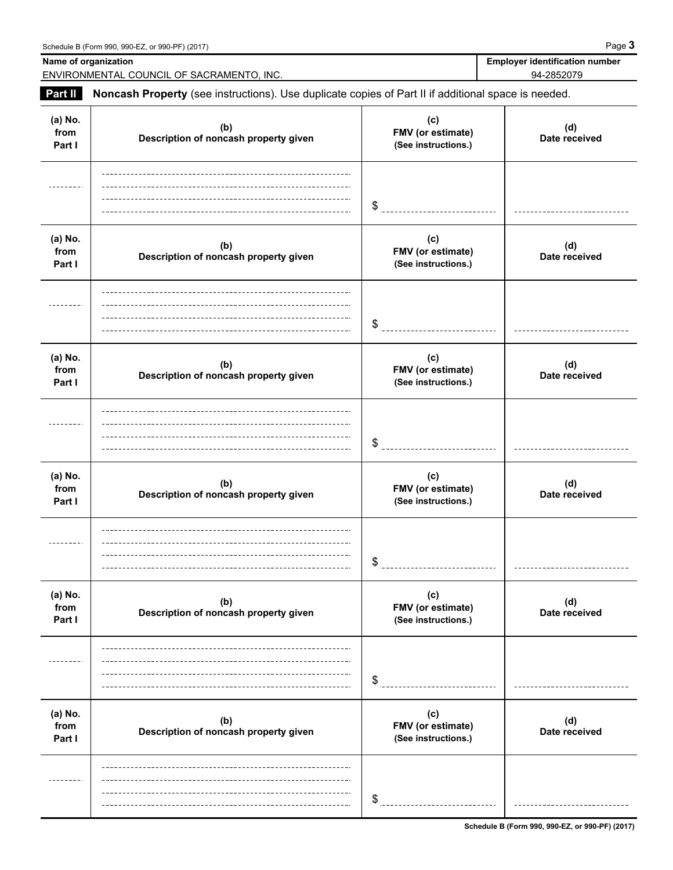|                           | Name of organization<br>ENVIRONMENTAL COUNCIL OF SACRAMENTO, INC.                                   | <b>Employer identification number</b><br>94-2852079 |                      |  |
|---------------------------|-----------------------------------------------------------------------------------------------------|-----------------------------------------------------|----------------------|--|
| <b>Part II</b>            | Noncash Property (see instructions). Use duplicate copies of Part II if additional space is needed. |                                                     |                      |  |
| (a) No.<br>from<br>Part I | (b)<br>Description of noncash property given                                                        | (c)<br>FMV (or estimate)<br>(See instructions.)     | (d)<br>Date received |  |
|                           |                                                                                                     | \$                                                  |                      |  |
| (a) No.<br>from<br>Part I | (b)<br>Description of noncash property given                                                        | (c)<br>FMV (or estimate)<br>(See instructions.)     | (d)<br>Date received |  |
|                           |                                                                                                     | \$                                                  |                      |  |
| (a) No.<br>from<br>Part I | (b)<br>Description of noncash property given                                                        | (c)<br>FMV (or estimate)<br>(See instructions.)     | (d)<br>Date received |  |
|                           |                                                                                                     | \$                                                  |                      |  |
| (a) No.<br>from<br>Part I | (b)<br>Description of noncash property given                                                        | (c)<br>FMV (or estimate)<br>(See instructions.)     | (d)<br>Date received |  |
|                           |                                                                                                     | \$                                                  |                      |  |
| (a) No.<br>from<br>Part I | (b)<br>Description of noncash property given                                                        | (c)<br>FMV (or estimate)<br>(See instructions.)     | (d)<br>Date received |  |
| .                         |                                                                                                     | \$                                                  |                      |  |
| (a) No.<br>from<br>Part I | (b)<br>Description of noncash property given                                                        | (c)<br>FMV (or estimate)<br>(See instructions.)     | (d)<br>Date received |  |
|                           |                                                                                                     | \$                                                  |                      |  |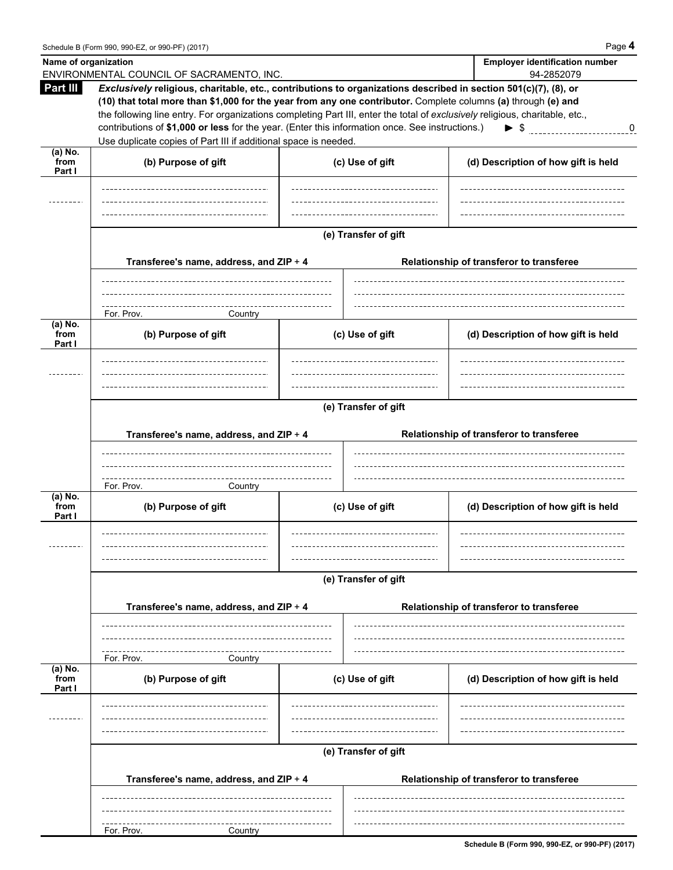| Name of organization        | ENVIRONMENTAL COUNCIL OF SACRAMENTO, INC.                                                                                                                                                                                                                                                                                                                                                                                                                                                                                              |                                                                                                             |  | <b>Employer identification number</b><br>94-2852079                   |  |  |  |  |
|-----------------------------|----------------------------------------------------------------------------------------------------------------------------------------------------------------------------------------------------------------------------------------------------------------------------------------------------------------------------------------------------------------------------------------------------------------------------------------------------------------------------------------------------------------------------------------|-------------------------------------------------------------------------------------------------------------|--|-----------------------------------------------------------------------|--|--|--|--|
| Part III                    | Exclusively religious, charitable, etc., contributions to organizations described in section 501(c)(7), (8), or<br>(10) that total more than \$1,000 for the year from any one contributor. Complete columns (a) through (e) and<br>the following line entry. For organizations completing Part III, enter the total of exclusively religious, charitable, etc.,<br>contributions of \$1,000 or less for the year. (Enter this information once. See instructions.)<br>Use duplicate copies of Part III if additional space is needed. |                                                                                                             |  | $\blacktriangleright$ \$<br>$\boldsymbol{0}$                          |  |  |  |  |
| (a) No.<br>from<br>Part I   | (b) Purpose of gift                                                                                                                                                                                                                                                                                                                                                                                                                                                                                                                    | (c) Use of gift                                                                                             |  | (d) Description of how gift is held                                   |  |  |  |  |
|                             |                                                                                                                                                                                                                                                                                                                                                                                                                                                                                                                                        |                                                                                                             |  |                                                                       |  |  |  |  |
|                             |                                                                                                                                                                                                                                                                                                                                                                                                                                                                                                                                        | (e) Transfer of gift<br>Transferee's name, address, and ZIP + 4<br>Relationship of transferor to transferee |  |                                                                       |  |  |  |  |
|                             | For. Prov.<br>Country                                                                                                                                                                                                                                                                                                                                                                                                                                                                                                                  |                                                                                                             |  |                                                                       |  |  |  |  |
| (a) No.<br>from<br>Part I   | (b) Purpose of gift                                                                                                                                                                                                                                                                                                                                                                                                                                                                                                                    | (c) Use of gift                                                                                             |  | (d) Description of how gift is held                                   |  |  |  |  |
|                             |                                                                                                                                                                                                                                                                                                                                                                                                                                                                                                                                        |                                                                                                             |  |                                                                       |  |  |  |  |
|                             | (e) Transfer of gift                                                                                                                                                                                                                                                                                                                                                                                                                                                                                                                   |                                                                                                             |  |                                                                       |  |  |  |  |
|                             | Transferee's name, address, and ZIP + 4                                                                                                                                                                                                                                                                                                                                                                                                                                                                                                |                                                                                                             |  | Relationship of transferor to transferee                              |  |  |  |  |
| $(a)$ No.<br>from<br>Part I | For. Prov.<br>Country<br>(b) Purpose of gift                                                                                                                                                                                                                                                                                                                                                                                                                                                                                           | (c) Use of gift<br>-------------------------------                                                          |  | (d) Description of how gift is held<br>______________________________ |  |  |  |  |
|                             |                                                                                                                                                                                                                                                                                                                                                                                                                                                                                                                                        | (e) Transfer of gift                                                                                        |  |                                                                       |  |  |  |  |
|                             | Transferee's name, address, and ZIP + 4                                                                                                                                                                                                                                                                                                                                                                                                                                                                                                |                                                                                                             |  | Relationship of transferor to transferee                              |  |  |  |  |
|                             | For. Prov.<br>Country                                                                                                                                                                                                                                                                                                                                                                                                                                                                                                                  |                                                                                                             |  |                                                                       |  |  |  |  |
| (a) No.<br>from<br>Part I   | (b) Purpose of gift                                                                                                                                                                                                                                                                                                                                                                                                                                                                                                                    | (c) Use of gift                                                                                             |  | (d) Description of how gift is held                                   |  |  |  |  |
|                             |                                                                                                                                                                                                                                                                                                                                                                                                                                                                                                                                        |                                                                                                             |  |                                                                       |  |  |  |  |
|                             |                                                                                                                                                                                                                                                                                                                                                                                                                                                                                                                                        | (e) Transfer of gift                                                                                        |  |                                                                       |  |  |  |  |
|                             | Transferee's name, address, and ZIP + 4                                                                                                                                                                                                                                                                                                                                                                                                                                                                                                |                                                                                                             |  | Relationship of transferor to transferee                              |  |  |  |  |
|                             | For. Prov.<br>Country                                                                                                                                                                                                                                                                                                                                                                                                                                                                                                                  |                                                                                                             |  |                                                                       |  |  |  |  |

**Schedule B (Form 990, 990-EZ, or 990-PF) (2017)**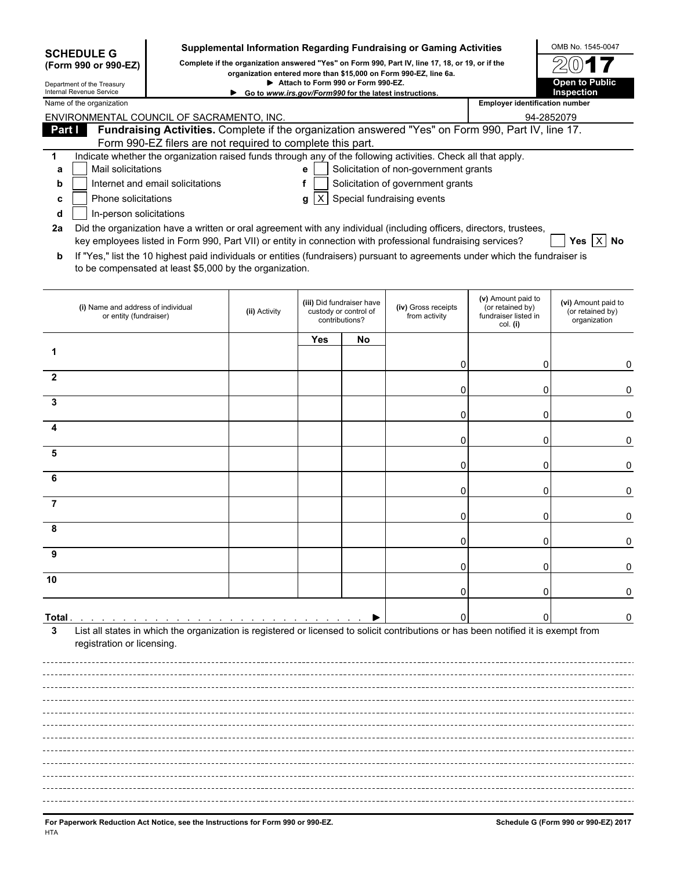| <b>SCHEDULE G</b><br>Complete if the organization answered "Yes" on Form 990, Part IV, line 17, 18, or 19, or if the<br>(Form 990 or 990-EZ)<br>organization entered more than \$15,000 on Form 990-EZ, line 6a.<br>Attach to Form 990 or Form 990-EZ.<br>Department of the Treasury<br>Internal Revenue Service<br>Go to www.irs.gov/Form990 for the latest instructions.<br><b>Employer identification number</b><br>Name of the organization<br>ENVIRONMENTAL COUNCIL OF SACRAMENTO, INC.<br>Fundraising Activities. Complete if the organization answered "Yes" on Form 990, Part IV, line 17.<br>Part I<br>Form 990-EZ filers are not required to complete this part.<br>Indicate whether the organization raised funds through any of the following activities. Check all that apply.<br>1<br>Mail solicitations<br>Solicitation of non-government grants<br>a<br>e | Open to Public<br>Inspection<br>94-2852079              |  |  |  |  |  |  |
|---------------------------------------------------------------------------------------------------------------------------------------------------------------------------------------------------------------------------------------------------------------------------------------------------------------------------------------------------------------------------------------------------------------------------------------------------------------------------------------------------------------------------------------------------------------------------------------------------------------------------------------------------------------------------------------------------------------------------------------------------------------------------------------------------------------------------------------------------------------------------|---------------------------------------------------------|--|--|--|--|--|--|
|                                                                                                                                                                                                                                                                                                                                                                                                                                                                                                                                                                                                                                                                                                                                                                                                                                                                           |                                                         |  |  |  |  |  |  |
|                                                                                                                                                                                                                                                                                                                                                                                                                                                                                                                                                                                                                                                                                                                                                                                                                                                                           |                                                         |  |  |  |  |  |  |
|                                                                                                                                                                                                                                                                                                                                                                                                                                                                                                                                                                                                                                                                                                                                                                                                                                                                           |                                                         |  |  |  |  |  |  |
|                                                                                                                                                                                                                                                                                                                                                                                                                                                                                                                                                                                                                                                                                                                                                                                                                                                                           |                                                         |  |  |  |  |  |  |
|                                                                                                                                                                                                                                                                                                                                                                                                                                                                                                                                                                                                                                                                                                                                                                                                                                                                           |                                                         |  |  |  |  |  |  |
|                                                                                                                                                                                                                                                                                                                                                                                                                                                                                                                                                                                                                                                                                                                                                                                                                                                                           |                                                         |  |  |  |  |  |  |
|                                                                                                                                                                                                                                                                                                                                                                                                                                                                                                                                                                                                                                                                                                                                                                                                                                                                           |                                                         |  |  |  |  |  |  |
| Solicitation of government grants<br>Internet and email solicitations<br>f<br>b                                                                                                                                                                                                                                                                                                                                                                                                                                                                                                                                                                                                                                                                                                                                                                                           |                                                         |  |  |  |  |  |  |
| Special fundraising events<br>Phone solicitations<br> X <br>g<br>c                                                                                                                                                                                                                                                                                                                                                                                                                                                                                                                                                                                                                                                                                                                                                                                                        |                                                         |  |  |  |  |  |  |
| In-person solicitations<br>d                                                                                                                                                                                                                                                                                                                                                                                                                                                                                                                                                                                                                                                                                                                                                                                                                                              |                                                         |  |  |  |  |  |  |
| Did the organization have a written or oral agreement with any individual (including officers, directors, trustees,<br>2a                                                                                                                                                                                                                                                                                                                                                                                                                                                                                                                                                                                                                                                                                                                                                 |                                                         |  |  |  |  |  |  |
| key employees listed in Form 990, Part VII) or entity in connection with professional fundraising services?                                                                                                                                                                                                                                                                                                                                                                                                                                                                                                                                                                                                                                                                                                                                                               | Yes   X   No                                            |  |  |  |  |  |  |
| If "Yes," list the 10 highest paid individuals or entities (fundraisers) pursuant to agreements under which the fundraiser is<br>b<br>to be compensated at least \$5,000 by the organization.                                                                                                                                                                                                                                                                                                                                                                                                                                                                                                                                                                                                                                                                             |                                                         |  |  |  |  |  |  |
| (v) Amount paid to<br>(iii) Did fundraiser have<br>(iv) Gross receipts<br>(i) Name and address of individual<br>(or retained by)<br>(ii) Activity<br>custody or control of<br>from activity<br>fundraiser listed in<br>or entity (fundraiser)<br>contributions?<br>col. (i)                                                                                                                                                                                                                                                                                                                                                                                                                                                                                                                                                                                               | (vi) Amount paid to<br>(or retained by)<br>organization |  |  |  |  |  |  |
| Yes<br>No                                                                                                                                                                                                                                                                                                                                                                                                                                                                                                                                                                                                                                                                                                                                                                                                                                                                 |                                                         |  |  |  |  |  |  |
|                                                                                                                                                                                                                                                                                                                                                                                                                                                                                                                                                                                                                                                                                                                                                                                                                                                                           |                                                         |  |  |  |  |  |  |
| 0<br>$\mathbf{2}$                                                                                                                                                                                                                                                                                                                                                                                                                                                                                                                                                                                                                                                                                                                                                                                                                                                         | 0<br>0                                                  |  |  |  |  |  |  |
| 0                                                                                                                                                                                                                                                                                                                                                                                                                                                                                                                                                                                                                                                                                                                                                                                                                                                                         | 0<br>0                                                  |  |  |  |  |  |  |
| 3                                                                                                                                                                                                                                                                                                                                                                                                                                                                                                                                                                                                                                                                                                                                                                                                                                                                         |                                                         |  |  |  |  |  |  |
| 0                                                                                                                                                                                                                                                                                                                                                                                                                                                                                                                                                                                                                                                                                                                                                                                                                                                                         | 0<br>0                                                  |  |  |  |  |  |  |
| 4<br>0                                                                                                                                                                                                                                                                                                                                                                                                                                                                                                                                                                                                                                                                                                                                                                                                                                                                    | 0<br>0                                                  |  |  |  |  |  |  |
| 5                                                                                                                                                                                                                                                                                                                                                                                                                                                                                                                                                                                                                                                                                                                                                                                                                                                                         |                                                         |  |  |  |  |  |  |
| 0                                                                                                                                                                                                                                                                                                                                                                                                                                                                                                                                                                                                                                                                                                                                                                                                                                                                         | 0<br>0                                                  |  |  |  |  |  |  |
| 6<br>0                                                                                                                                                                                                                                                                                                                                                                                                                                                                                                                                                                                                                                                                                                                                                                                                                                                                    | 0<br>0                                                  |  |  |  |  |  |  |
| 7                                                                                                                                                                                                                                                                                                                                                                                                                                                                                                                                                                                                                                                                                                                                                                                                                                                                         |                                                         |  |  |  |  |  |  |
| 0                                                                                                                                                                                                                                                                                                                                                                                                                                                                                                                                                                                                                                                                                                                                                                                                                                                                         | 0<br>0                                                  |  |  |  |  |  |  |
|                                                                                                                                                                                                                                                                                                                                                                                                                                                                                                                                                                                                                                                                                                                                                                                                                                                                           |                                                         |  |  |  |  |  |  |
| 0<br>9                                                                                                                                                                                                                                                                                                                                                                                                                                                                                                                                                                                                                                                                                                                                                                                                                                                                    | 0<br>0                                                  |  |  |  |  |  |  |
|                                                                                                                                                                                                                                                                                                                                                                                                                                                                                                                                                                                                                                                                                                                                                                                                                                                                           |                                                         |  |  |  |  |  |  |
| 10                                                                                                                                                                                                                                                                                                                                                                                                                                                                                                                                                                                                                                                                                                                                                                                                                                                                        |                                                         |  |  |  |  |  |  |
| O                                                                                                                                                                                                                                                                                                                                                                                                                                                                                                                                                                                                                                                                                                                                                                                                                                                                         |                                                         |  |  |  |  |  |  |
| Total.<br>O                                                                                                                                                                                                                                                                                                                                                                                                                                                                                                                                                                                                                                                                                                                                                                                                                                                               | 0                                                       |  |  |  |  |  |  |
| List all states in which the organization is registered or licensed to solicit contributions or has been notified it is exempt from<br>3                                                                                                                                                                                                                                                                                                                                                                                                                                                                                                                                                                                                                                                                                                                                  |                                                         |  |  |  |  |  |  |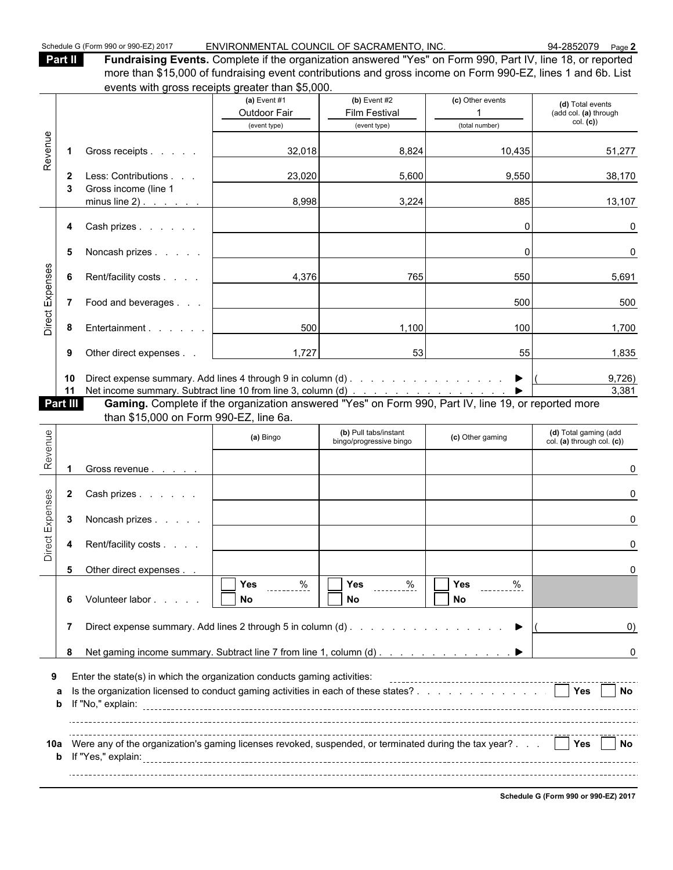**Part II Fundraising Events.** Complete if the organization answered "Yes" on Form 990, Part IV, line 18, or reported more than \$15,000 of fundraising event contributions and gross income on Form 990-EZ, lines 1 and 6b. List events with gross receipts greater than \$5,000.

|                 |                      |                                                                                                                                                                     | (a) Event $#1$<br>Outdoor Fair         | (b) Event $#2$<br><b>Film Festival</b>           | (c) Other events<br>$\mathbf 1$                 | (d) Total events<br>(add col. (a) through           |
|-----------------|----------------------|---------------------------------------------------------------------------------------------------------------------------------------------------------------------|----------------------------------------|--------------------------------------------------|-------------------------------------------------|-----------------------------------------------------|
|                 |                      |                                                                                                                                                                     | (event type)                           | (event type)                                     | (total number)                                  | col. (c)                                            |
| Revenue         | $\mathbf 1$          | Gross receipts                                                                                                                                                      | 32,018                                 | 8,824                                            | 10,435                                          | 51,277                                              |
|                 | $\mathbf{2}$<br>3    | Less: Contributions<br>Gross income (line 1                                                                                                                         | 23,020                                 | 5,600                                            | 9,550                                           | 38,170                                              |
|                 |                      | minus line 2) $\ldots$ $\ldots$                                                                                                                                     | 8,998                                  | 3,224                                            | 885                                             | 13,107                                              |
|                 | 4                    | Cash prizes                                                                                                                                                         |                                        |                                                  | $\Omega$                                        | 0                                                   |
|                 | 5                    | Noncash prizes                                                                                                                                                      |                                        |                                                  | $\Omega$                                        | 0                                                   |
|                 | 6                    | Rent/facility costs                                                                                                                                                 | 4,376                                  | 765                                              | 550                                             | 5,691                                               |
| Direct Expenses | $\overline{7}$       | Food and beverages                                                                                                                                                  |                                        |                                                  | 500                                             | 500                                                 |
|                 | 8                    | Entertainment                                                                                                                                                       | 500                                    | 1,100                                            | 100                                             | 1,700                                               |
|                 | 9                    | Other direct expenses                                                                                                                                               | 1,727                                  | 53                                               | 55                                              | 1,835                                               |
|                 | 10<br>11<br>Part III | Net income summary. Subtract line 10 from line 3, column (d)<br>Gaming. Complete if the organization answered "Yes" on Form 990, Part IV, line 19, or reported more |                                        |                                                  |                                                 | 9,726)<br>3,381                                     |
|                 |                      | than \$15,000 on Form 990-EZ, line 6a.                                                                                                                              |                                        |                                                  |                                                 |                                                     |
| Revenue         |                      |                                                                                                                                                                     | (a) Bingo                              | (b) Pull tabs/instant<br>bingo/progressive bingo | (c) Other gaming                                | (d) Total gaming (add<br>col. (a) through col. (c)) |
|                 |                      | Gross revenue                                                                                                                                                       |                                        |                                                  |                                                 | U                                                   |
|                 |                      | 2 Cash prizes                                                                                                                                                       |                                        |                                                  |                                                 | U                                                   |
|                 | 3                    | Noncash prizes                                                                                                                                                      |                                        |                                                  |                                                 | U                                                   |
| Direct Expenses | 4                    | Rent/facility costs                                                                                                                                                 |                                        |                                                  |                                                 | U                                                   |
|                 | 5                    | Other direct expenses                                                                                                                                               |                                        |                                                  |                                                 |                                                     |
|                 | 6                    | Volunteer labor                                                                                                                                                     | $\Box$ Yes<br>$rac{9}{1}$<br><b>No</b> | $\sum$ Yes $\frac{\%}{\%}$<br>No                 | $\sqrt{ }$ Yes $\sqrt{ }$ $\frac{\%}{\%}$<br>No |                                                     |
|                 | $\overline{7}$       |                                                                                                                                                                     |                                        |                                                  |                                                 | O)                                                  |
|                 | 8                    | Net gaming income summary. Subtract line 7 from line 1, column (d)                                                                                                  |                                        |                                                  |                                                 | 0                                                   |
|                 |                      |                                                                                                                                                                     |                                        |                                                  |                                                 |                                                     |
| 9               | a<br>b               | Enter the state(s) in which the organization conducts gaming activities:                                                                                            |                                        |                                                  |                                                 |                                                     |
|                 |                      |                                                                                                                                                                     |                                        |                                                  |                                                 |                                                     |
|                 |                      | 10a Were any of the organization's gaming licenses revoked, suspended, or terminated during the tax year?   Yes   No                                                |                                        |                                                  |                                                 |                                                     |
|                 |                      |                                                                                                                                                                     |                                        |                                                  |                                                 |                                                     |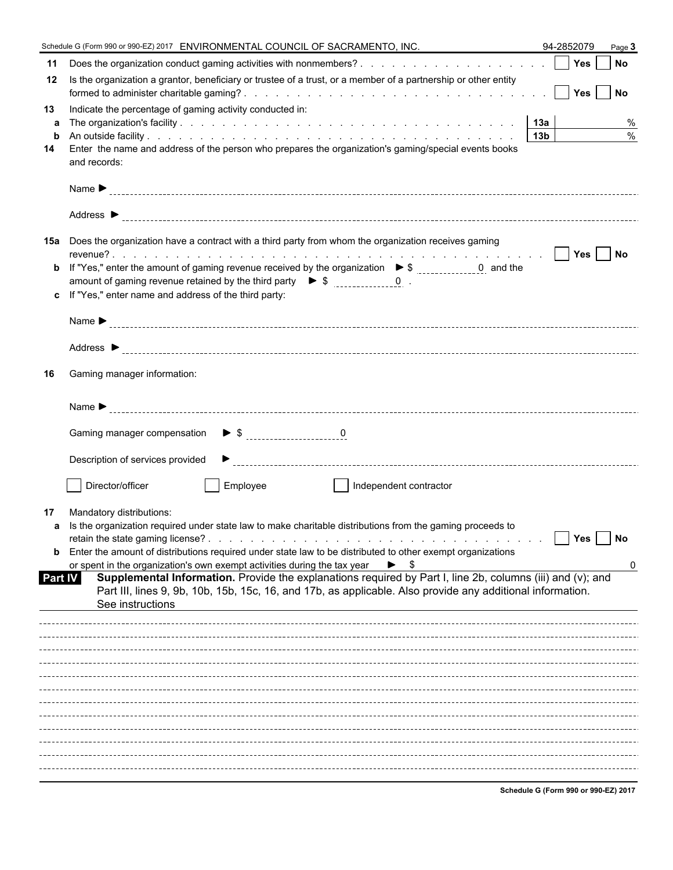|                   | Schedule G (Form 990 or 990-EZ) 2017 ENVIRONMENTAL COUNCIL OF SACRAMENTO, INC.                                                                                                                                           | 94-2852079                           | Page 3 |
|-------------------|--------------------------------------------------------------------------------------------------------------------------------------------------------------------------------------------------------------------------|--------------------------------------|--------|
| 11                |                                                                                                                                                                                                                          |                                      |        |
| 12                | Is the organization a grantor, beneficiary or trustee of a trust, or a member of a partnership or other entity                                                                                                           |                                      |        |
| 13                | Indicate the percentage of gaming activity conducted in:                                                                                                                                                                 |                                      |        |
| a                 |                                                                                                                                                                                                                          |                                      | %      |
| $\mathbf b$<br>14 | Enter the name and address of the person who prepares the organization's gaming/special events books                                                                                                                     |                                      | $\%$   |
|                   | and records:                                                                                                                                                                                                             |                                      |        |
|                   |                                                                                                                                                                                                                          |                                      |        |
|                   |                                                                                                                                                                                                                          |                                      |        |
| 15а               | Does the organization have a contract with a third party from whom the organization receives gaming                                                                                                                      |                                      |        |
|                   |                                                                                                                                                                                                                          |                                      |        |
|                   | amount of gaming revenue retained by the third party $\triangleright$ \$ $\frac{1}{2}$ = $\frac{0}{2}$ .                                                                                                                 |                                      |        |
|                   | c If "Yes," enter name and address of the third party:                                                                                                                                                                   |                                      |        |
|                   |                                                                                                                                                                                                                          |                                      |        |
|                   |                                                                                                                                                                                                                          |                                      |        |
|                   |                                                                                                                                                                                                                          |                                      |        |
| 16                | Gaming manager information:                                                                                                                                                                                              |                                      |        |
|                   |                                                                                                                                                                                                                          |                                      |        |
|                   |                                                                                                                                                                                                                          |                                      |        |
|                   | Description of services provided                                                                                                                                                                                         |                                      |        |
|                   | Director/officer<br>Employee<br>Independent contractor<br>$\mathbf{I}$                                                                                                                                                   |                                      |        |
| 17                | Mandatory distributions:                                                                                                                                                                                                 |                                      |        |
|                   | a Is the organization required under state law to make charitable distributions from the gaming proceeds to                                                                                                              |                                      |        |
|                   | <b>b</b> Enter the amount of distributions required under state law to be distributed to other exempt organizations                                                                                                      | Yes                                  | No     |
|                   | or spent in the organization's own exempt activities during the tax year $\triangleright$ \$                                                                                                                             |                                      | 0      |
| Part IV           | Supplemental Information. Provide the explanations required by Part I, line 2b, columns (iii) and (v); and<br>Part III, lines 9, 9b, 10b, 15b, 15c, 16, and 17b, as applicable. Also provide any additional information. |                                      |        |
|                   | See instructions                                                                                                                                                                                                         |                                      |        |
|                   |                                                                                                                                                                                                                          |                                      |        |
|                   |                                                                                                                                                                                                                          |                                      |        |
|                   |                                                                                                                                                                                                                          |                                      |        |
|                   |                                                                                                                                                                                                                          |                                      |        |
|                   |                                                                                                                                                                                                                          |                                      |        |
|                   |                                                                                                                                                                                                                          |                                      |        |
|                   |                                                                                                                                                                                                                          |                                      |        |
|                   |                                                                                                                                                                                                                          |                                      |        |
|                   |                                                                                                                                                                                                                          |                                      |        |
|                   |                                                                                                                                                                                                                          | Schodule C (Form 000 or 000 E7) 2017 |        |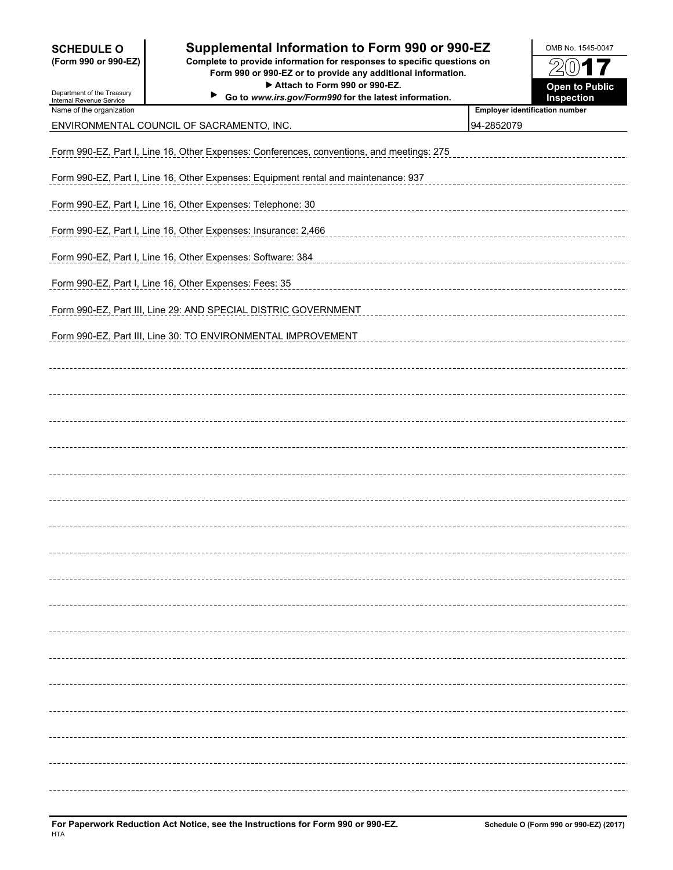| <b>SCHEDULE O</b><br>(Form 990 or 990-EZ)<br>Department of the Treasury<br>Internal Revenue Service | Supplemental Information to Form 990 or 990-EZ<br>Complete to provide information for responses to specific questions on<br>Form 990 or 990-EZ or to provide any additional information.<br>Attach to Form 990 or 990-EZ.<br>Go to www.irs.gov/Form990 for the latest information. |                                       | OMB No. 1545-0047<br>$(0)$ 17<br><b>Open to Public</b><br>Inspection |  |  |  |  |
|-----------------------------------------------------------------------------------------------------|------------------------------------------------------------------------------------------------------------------------------------------------------------------------------------------------------------------------------------------------------------------------------------|---------------------------------------|----------------------------------------------------------------------|--|--|--|--|
| Name of the organization                                                                            |                                                                                                                                                                                                                                                                                    | <b>Employer identification number</b> |                                                                      |  |  |  |  |
|                                                                                                     | ENVIRONMENTAL COUNCIL OF SACRAMENTO, INC.                                                                                                                                                                                                                                          | 94-2852079                            |                                                                      |  |  |  |  |
|                                                                                                     | Form 990-EZ, Part I, Line 16, Other Expenses: Conferences, conventions, and meetings: 275                                                                                                                                                                                          |                                       |                                                                      |  |  |  |  |
|                                                                                                     | Form 990-EZ, Part I, Line 16, Other Expenses: Equipment rental and maintenance: 937                                                                                                                                                                                                |                                       |                                                                      |  |  |  |  |
| Form 990-EZ, Part I, Line 16, Other Expenses: Telephone: 30                                         |                                                                                                                                                                                                                                                                                    |                                       |                                                                      |  |  |  |  |
|                                                                                                     | Form 990-EZ, Part I, Line 16, Other Expenses: Insurance: 2,466                                                                                                                                                                                                                     |                                       |                                                                      |  |  |  |  |
|                                                                                                     | Form 990-EZ, Part I, Line 16, Other Expenses: Software: 384                                                                                                                                                                                                                        |                                       |                                                                      |  |  |  |  |
|                                                                                                     | Form 990-EZ, Part I, Line 16, Other Expenses: Fees: 35                                                                                                                                                                                                                             |                                       |                                                                      |  |  |  |  |
|                                                                                                     | Form 990-EZ, Part III, Line 29: AND SPECIAL DISTRIC GOVERNMENT                                                                                                                                                                                                                     |                                       |                                                                      |  |  |  |  |
|                                                                                                     | Form 990-EZ, Part III, Line 30: TO ENVIRONMENTAL IMPROVEMENT                                                                                                                                                                                                                       |                                       |                                                                      |  |  |  |  |
|                                                                                                     |                                                                                                                                                                                                                                                                                    |                                       |                                                                      |  |  |  |  |
|                                                                                                     |                                                                                                                                                                                                                                                                                    |                                       |                                                                      |  |  |  |  |
|                                                                                                     |                                                                                                                                                                                                                                                                                    |                                       |                                                                      |  |  |  |  |
|                                                                                                     |                                                                                                                                                                                                                                                                                    |                                       |                                                                      |  |  |  |  |
|                                                                                                     |                                                                                                                                                                                                                                                                                    |                                       |                                                                      |  |  |  |  |
|                                                                                                     |                                                                                                                                                                                                                                                                                    |                                       |                                                                      |  |  |  |  |
|                                                                                                     |                                                                                                                                                                                                                                                                                    |                                       |                                                                      |  |  |  |  |
|                                                                                                     |                                                                                                                                                                                                                                                                                    |                                       |                                                                      |  |  |  |  |
|                                                                                                     |                                                                                                                                                                                                                                                                                    |                                       |                                                                      |  |  |  |  |
|                                                                                                     |                                                                                                                                                                                                                                                                                    |                                       |                                                                      |  |  |  |  |
|                                                                                                     |                                                                                                                                                                                                                                                                                    |                                       |                                                                      |  |  |  |  |
|                                                                                                     |                                                                                                                                                                                                                                                                                    |                                       |                                                                      |  |  |  |  |
|                                                                                                     |                                                                                                                                                                                                                                                                                    |                                       |                                                                      |  |  |  |  |
|                                                                                                     |                                                                                                                                                                                                                                                                                    |                                       |                                                                      |  |  |  |  |
|                                                                                                     |                                                                                                                                                                                                                                                                                    |                                       |                                                                      |  |  |  |  |
|                                                                                                     |                                                                                                                                                                                                                                                                                    |                                       |                                                                      |  |  |  |  |